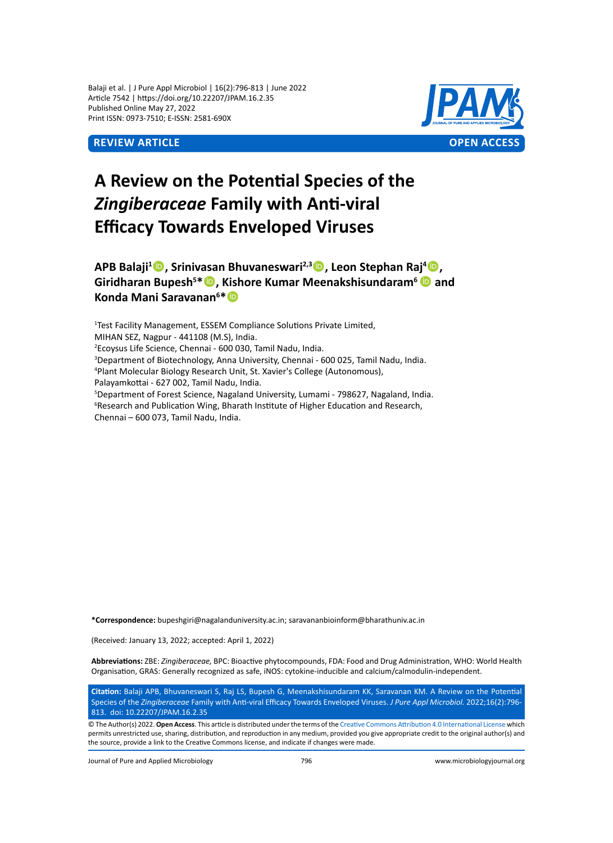Balaji et al. | J Pure Appl Microbiol | 16(2):796-813 | June 2022 Article 7542 | https://doi.org/10.22207/JPAM.16.2.35 Published Online May 27, 2022 Print ISSN: 0973-7510; E-ISSN: 2581-690X



# **A Review on the Potential Species of the**  *Zingiberaceae* **Family with Anti-viral Efficacy Towards Enveloped Viruses**

## **APB Balaji<sup>1</sup> , Srinivasan Bhuvaneswari2,3, Leon Stephan Raj<sup>4</sup> , Giridharan Bupesh<sup>5</sup> \*, Kishore Kumar Meenakshisundaram<sup>6</sup> and Konda Mani Saravanan<sup>6</sup> \***

1 Test Facility Management, ESSEM Compliance Solutions Private Limited, MIHAN SEZ, Nagpur - 441108 (M.S), India. 2 Ecoysus Life Science, Chennai - 600 030, Tamil Nadu, India. 3 Department of Biotechnology, Anna University, Chennai - 600 025, Tamil Nadu, India. 4 Plant Molecular Biology Research Unit, St. Xavier's College (Autonomous), Palayamkottai - 627 002, Tamil Nadu, India. 5 Department of Forest Science, Nagaland University, Lumami - 798627, Nagaland, India. <sup>6</sup>Research and Publication Wing, Bharath Institute of Higher Education and Research, Chennai – 600 073, Tamil Nadu, India.

**\*Correspondence:** bupeshgiri@nagalanduniversity.ac.in; saravananbioinform@bharathuniv.ac.in

(Received: January 13, 2022; accepted: April 1, 2022)

**Abbreviations:** ZBE: *Zingiberaceae,* BPC: Bioactive phytocompounds, FDA: Food and Drug Administration, WHO: World Health Organisation, GRAS: Generally recognized as safe, iNOS: cytokine-inducible and calcium/calmodulin-independent.

**Citation:** Balaji APB, Bhuvaneswari S, Raj LS, Bupesh G, Meenakshisundaram KK, Saravanan KM. A Review on the Potential Species of the *Zingiberaceae* Family with Anti-viral Efficacy Towards Enveloped Viruses. *J Pure Appl Microbiol.* 2022;16(2):796- 813. doi: 10.22207/JPAM.16.2.35

© The Author(s) 2022. **Open Access**. This article is distributed under the terms of the [Creative Commons Attribution 4.0 International License](https://creativecommons.org/licenses/by/4.0/) which permits unrestricted use, sharing, distribution, and reproduction in any medium, provided you give appropriate credit to the original author(s) and the source, provide a link to the Creative Commons license, and indicate if changes were made.

Journal of Pure and Applied Microbiology 796 www.microbiologyjournal.org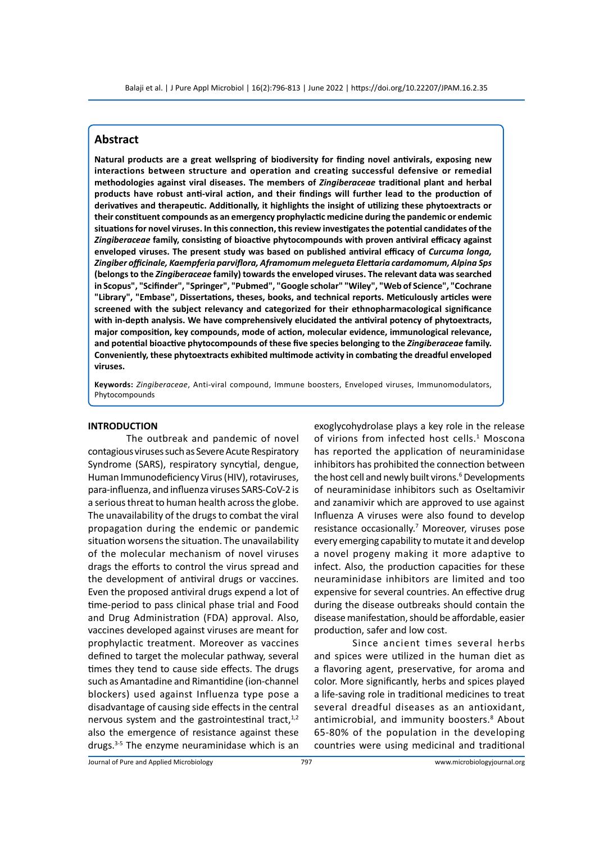## **Abstract**

**Natural products are a great wellspring of biodiversity for finding novel antivirals, exposing new interactions between structure and operation and creating successful defensive or remedial methodologies against viral diseases. The members of** *Zingiberaceae* **traditional plant and herbal products have robust anti-viral action, and their findings will further lead to the production of derivatives and therapeutic. Additionally, it highlights the insight of utilizing these phytoextracts or their constituent compounds as an emergency prophylactic medicine during the pandemic or endemic situations for novel viruses. In this connection, this review investigates the potential candidates of the**  *Zingiberaceae* **family, consisting of bioactive phytocompounds with proven antiviral efficacy against enveloped viruses. The present study was based on published antiviral efficacy of** *Curcuma longa, Zingiber officinale, Kaempferia parviflora, Aframomum melegueta Elettaria cardamomum, Alpina Sps* **(belongs to the** *Zingiberaceae* **family) towards the enveloped viruses. The relevant data was searched in Scopus", "Scifinder", "Springer", "Pubmed", "Google scholar" "Wiley", "Web of Science", "Cochrane "Library", "Embase", Dissertations, theses, books, and technical reports. Meticulously articles were screened with the subject relevancy and categorized for their ethnopharmacological significance with in-depth analysis. We have comprehensively elucidated the antiviral potency of phytoextracts, major composition, key compounds, mode of action, molecular evidence, immunological relevance, and potential bioactive phytocompounds of these five species belonging to the** *Zingiberaceae* **family. Conveniently, these phytoextracts exhibited multimode activity in combating the dreadful enveloped viruses.**

**Keywords:** *Zingiberaceae*, Anti-viral compound, Immune boosters, Enveloped viruses, Immunomodulators, Phytocompounds

#### **INTRODUCTION**

The outbreak and pandemic of novel contagious viruses such as Severe Acute Respiratory Syndrome (SARS), respiratory syncytial, dengue, Human Immunodeficiency Virus (HIV), rotaviruses, para-influenza, and influenza viruses SARS-CoV-2 is a serious threat to human health across the globe. The unavailability of the drugs to combat the viral propagation during the endemic or pandemic situation worsens the situation. The unavailability of the molecular mechanism of novel viruses drags the efforts to control the virus spread and the development of antiviral drugs or vaccines. Even the proposed antiviral drugs expend a lot of time-period to pass clinical phase trial and Food and Drug Administration (FDA) approval. Also, vaccines developed against viruses are meant for prophylactic treatment. Moreover as vaccines defined to target the molecular pathway, several times they tend to cause side effects. The drugs such as Amantadine and Rimantidine (ion-channel blockers) used against Influenza type pose a disadvantage of causing side effects in the central nervous system and the gastrointestinal tract, $1,2$ also the emergence of resistance against these drugs.3-5 The enzyme neuraminidase which is an exoglycohydrolase plays a key role in the release of virions from infected host cells.<sup>1</sup> Moscona has reported the application of neuraminidase inhibitors has prohibited the connection between the host cell and newly built virons.<sup>6</sup> Developments of neuraminidase inhibitors such as Oseltamivir and zanamivir which are approved to use against Influenza A viruses were also found to develop resistance occasionally.<sup>7</sup> Moreover, viruses pose every emerging capability to mutate it and develop a novel progeny making it more adaptive to infect. Also, the production capacities for these neuraminidase inhibitors are limited and too expensive for several countries. An effective drug during the disease outbreaks should contain the disease manifestation, should be affordable, easier production, safer and low cost.

Since ancient times several herbs and spices were utilized in the human diet as a flavoring agent, preservative, for aroma and color. More significantly, herbs and spices played a life-saving role in traditional medicines to treat several dreadful diseases as an antioxidant, antimicrobial, and immunity boosters.<sup>8</sup> About 65-80% of the population in the developing countries were using medicinal and traditional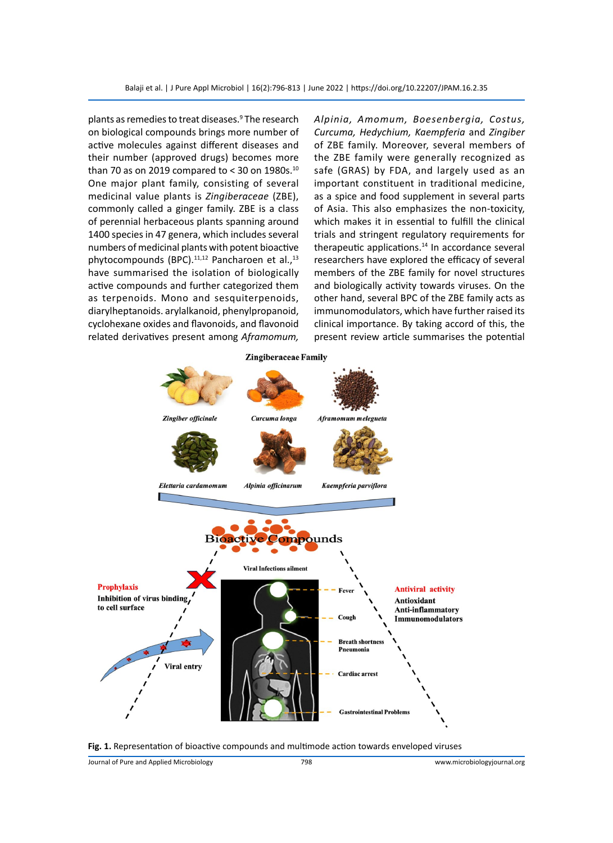plants as remedies to treat diseases.<sup>9</sup> The research on biological compounds brings more number of active molecules against different diseases and their number (approved drugs) becomes more than 70 as on 2019 compared to  $<$  30 on 1980s.<sup>10</sup> One major plant family, consisting of several medicinal value plants is *Zingiberaceae* (ZBE), commonly called a ginger family. ZBE is a class of perennial herbaceous plants spanning around 1400 species in 47 genera, which includes several numbers of medicinal plants with potent bioactive phytocompounds (BPC).<sup>11,12</sup> Pancharoen et al.,<sup>13</sup> have summarised the isolation of biologically active compounds and further categorized them as terpenoids. Mono and sesquiterpenoids, diarylheptanoids. arylalkanoid, phenylpropanoid, cyclohexane oxides and flavonoids, and flavonoid related derivatives present among *Aframomum,* 

*Alpinia, Amomum, Boesenbergia, Costus, Curcuma, Hedychium, Kaempferia* and *Zingiber* of ZBE family. Moreover, several members of the ZBE family were generally recognized as safe (GRAS) by FDA, and largely used as an important constituent in traditional medicine, as a spice and food supplement in several parts of Asia. This also emphasizes the non-toxicity, which makes it in essential to fulfill the clinical trials and stringent regulatory requirements for therapeutic applications.<sup>14</sup> In accordance several researchers have explored the efficacy of several members of the ZBE family for novel structures and biologically activity towards viruses. On the other hand, several BPC of the ZBE family acts as immunomodulators, which have further raised its clinical importance. By taking accord of this, the present review article summarises the potential



**Fig. 1.** Representation of bioactive compounds and multimode action towards enveloped viruses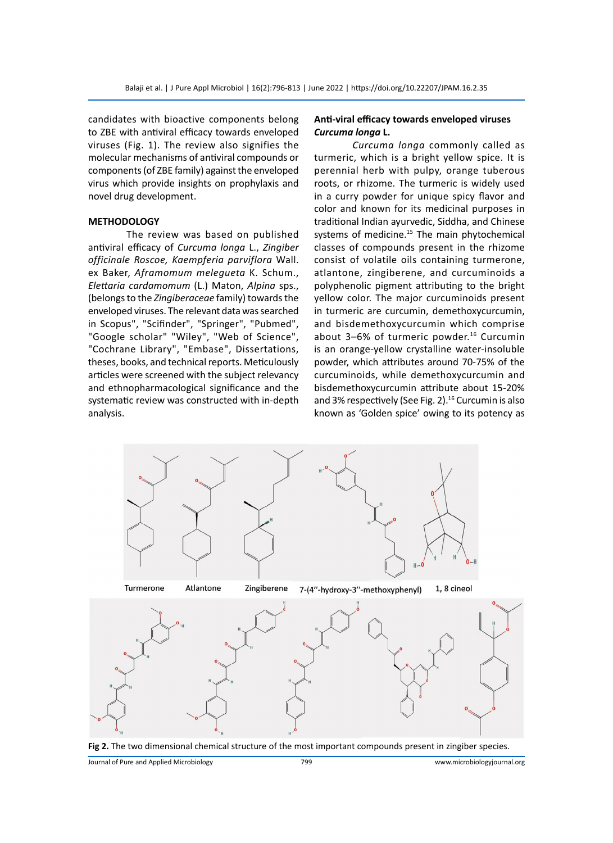candidates with bioactive components belong to ZBE with antiviral efficacy towards enveloped viruses (Fig. 1). The review also signifies the molecular mechanisms of antiviral compounds or components (of ZBE family) against the enveloped virus which provide insights on prophylaxis and novel drug development.

#### **METHODOLOGY**

The review was based on published antiviral efficacy of *Curcuma longa* L., *Zingiber officinale Roscoe, Kaempferia parviflora* Wall. ex Baker, *Aframomum melegueta* K. Schum., *Elettaria cardamomum* (L.) Maton, *Alpina* sps., (belongs to the *Zingiberaceae* family) towards the enveloped viruses. The relevant data was searched in Scopus", "Scifinder", "Springer", "Pubmed", "Google scholar" "Wiley", "Web of Science", "Cochrane Library", "Embase", Dissertations, theses, books, and technical reports. Meticulously articles were screened with the subject relevancy and ethnopharmacological significance and the systematic review was constructed with in-depth analysis.

#### **Anti-viral efficacy towards enveloped viruses** *Curcuma longa* **L.**

*Curcuma longa* commonly called as turmeric, which is a bright yellow spice. It is perennial herb with pulpy, orange tuberous roots, or rhizome. The turmeric is widely used in a curry powder for unique spicy flavor and color and known for its medicinal purposes in traditional Indian ayurvedic, Siddha, and Chinese systems of medicine.<sup>15</sup> The main phytochemical classes of compounds present in the rhizome consist of volatile oils containing turmerone, atlantone, zingiberene, and curcuminoids a polyphenolic pigment attributing to the bright yellow color. The major curcuminoids present in turmeric are curcumin, demethoxycurcumin, and bisdemethoxycurcumin which comprise about  $3-6%$  of turmeric powder.<sup>16</sup> Curcumin is an orange-yellow crystalline water-insoluble powder, which attributes around 70-75% of the curcuminoids, while demethoxycurcumin and bisdemethoxycurcumin attribute about 15-20% and 3% respectively (See Fig. 2).<sup>16</sup> Curcumin is also known as 'Golden spice' owing to its potency as





**Fig 2.** The two dimensional chemical structure of the most important compounds present in zingiber species.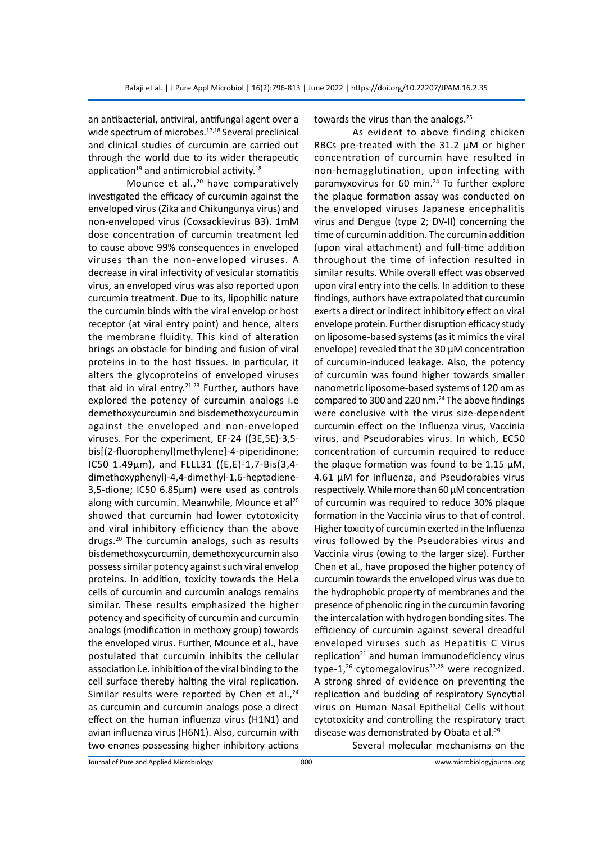an antibacterial, antiviral, antifungal agent over a wide spectrum of microbes.<sup>17,18</sup> Several preclinical and clinical studies of curcumin are carried out through the world due to its wider therapeutic application $19$  and antimicrobial activity. $18$ 

Mounce et al.,<sup>20</sup> have comparatively investigated the efficacy of curcumin against the enveloped virus (Zika and Chikungunya virus) and non-enveloped virus (Coxsackievirus B3). 1mM dose concentration of curcumin treatment led to cause above 99% consequences in enveloped viruses than the non-enveloped viruses. A decrease in viral infectivity of vesicular stomatitis virus, an enveloped virus was also reported upon curcumin treatment. Due to its, lipophilic nature the curcumin binds with the viral envelop or host receptor (at viral entry point) and hence, alters the membrane fluidity. This kind of alteration brings an obstacle for binding and fusion of viral proteins in to the host tissues. In particular, it alters the glycoproteins of enveloped viruses that aid in viral entry.<sup>21-23</sup> Further, authors have explored the potency of curcumin analogs i.e demethoxycurcumin and bisdemethoxycurcumin against the enveloped and non-enveloped viruses. For the experiment, EF-24 ((3E,5E)-3,5 bis[(2-fluorophenyl)methylene]-4-piperidinone; IC50 1.49µm), and FLLL31 ((E,E)-1,7-Bis(3,4 dimethoxyphenyl)-4,4-dimethyl-1,6-heptadiene-3,5-dione; IC50 6.85µm) were used as controls along with curcumin. Meanwhile, Mounce et al<sup>20</sup> showed that curcumin had lower cytotoxicity and viral inhibitory efficiency than the above drugs.20 The curcumin analogs, such as results bisdemethoxycurcumin, demethoxycurcumin also possess similar potency against such viral envelop proteins. In addition, toxicity towards the HeLa cells of curcumin and curcumin analogs remains similar. These results emphasized the higher potency and specificity of curcumin and curcumin analogs (modification in methoxy group) towards the enveloped virus. Further, Mounce et al., have postulated that curcumin inhibits the cellular association i.e. inhibition of the viral binding to the cell surface thereby halting the viral replication. Similar results were reported by Chen et al., $^{24}$ as curcumin and curcumin analogs pose a direct effect on the human influenza virus (H1N1) and avian influenza virus (H6N1). Also, curcumin with two enones possessing higher inhibitory actions towards the virus than the analogs.<sup>25</sup>

As evident to above finding chicken RBCs pre-treated with the 31.2 µM or higher concentration of curcumin have resulted in non-hemagglutination, upon infecting with paramyxovirus for 60 min.<sup>24</sup> To further explore the plaque formation assay was conducted on the enveloped viruses Japanese encephalitis virus and Dengue (type 2; DV-II) concerning the time of curcumin addition. The curcumin addition (upon viral attachment) and full-time addition throughout the time of infection resulted in similar results. While overall effect was observed upon viral entry into the cells. In addition to these findings, authors have extrapolated that curcumin exerts a direct or indirect inhibitory effect on viral envelope protein. Further disruption efficacy study on liposome-based systems (as it mimics the viral envelope) revealed that the 30 µM concentration of curcumin-induced leakage. Also, the potency of curcumin was found higher towards smaller nanometric liposome-based systems of 120 nm as compared to 300 and 220 nm.<sup>24</sup> The above findings were conclusive with the virus size-dependent curcumin effect on the Influenza virus, Vaccinia virus, and Pseudorabies virus. In which, EC50 concentration of curcumin required to reduce the plaque formation was found to be 1.15  $\mu$ M, 4.61 µM for Influenza, and Pseudorabies virus respectively. While more than 60 µM concentration of curcumin was required to reduce 30% plaque formation in the Vaccinia virus to that of control. Higher toxicity of curcumin exerted in the Influenza virus followed by the Pseudorabies virus and Vaccinia virus (owing to the larger size). Further Chen et al., have proposed the higher potency of curcumin towards the enveloped virus was due to the hydrophobic property of membranes and the presence of phenolic ring in the curcumin favoring the intercalation with hydrogen bonding sites. The efficiency of curcumin against several dreadful enveloped viruses such as Hepatitis C Virus replication<sup>21</sup> and human immunodeficiency virus type-1,<sup>26</sup> cytomegalovirus<sup>27,28</sup> were recognized. A strong shred of evidence on preventing the replication and budding of respiratory Syncytial virus on Human Nasal Epithelial Cells without cytotoxicity and controlling the respiratory tract disease was demonstrated by Obata et al.<sup>29</sup> Several molecular mechanisms on the

Journal of Pure and Applied Microbiology 800 www.microbiologyjournal.org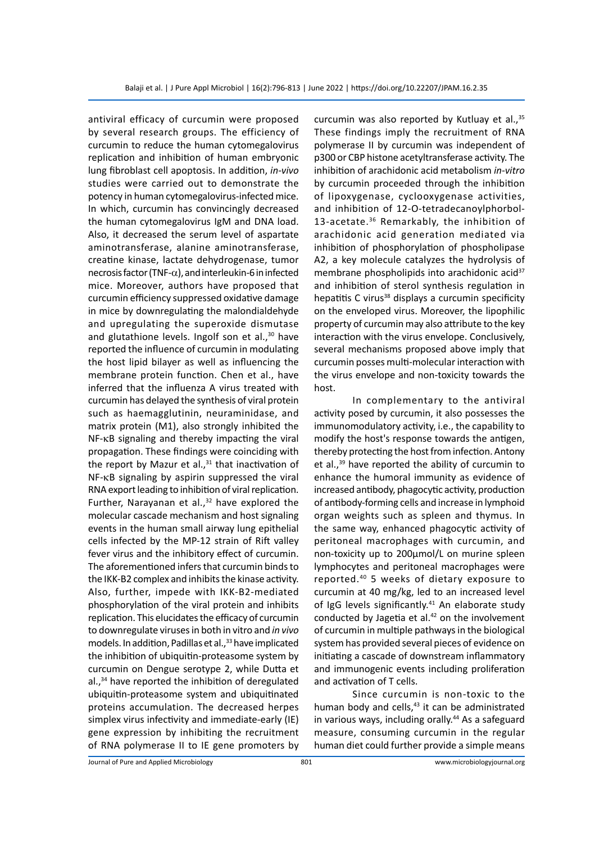antiviral efficacy of curcumin were proposed by several research groups. The efficiency of curcumin to reduce the human cytomegalovirus replication and inhibition of human embryonic lung fibroblast cell apoptosis. In addition, *in-vivo* studies were carried out to demonstrate the potency in human cytomegalovirus-infected mice. In which, curcumin has convincingly decreased the human cytomegalovirus IgM and DNA load. Also, it decreased the serum level of aspartate aminotransferase, alanine aminotransferase, creatine kinase, lactate dehydrogenase, tumor necrosis factor (TNF- $\alpha$ ), and interleukin-6 in infected mice. Moreover, authors have proposed that curcumin efficiency suppressed oxidative damage in mice by downregulating the malondialdehyde and upregulating the superoxide dismutase and glutathione levels. Ingolf son et al., $30$  have reported the influence of curcumin in modulating the host lipid bilayer as well as influencing the membrane protein function. Chen et al., have inferred that the influenza A virus treated with curcumin has delayed the synthesis of viral protein such as haemagglutinin, neuraminidase, and matrix protein (M1), also strongly inhibited the NF-kB signaling and thereby impacting the viral propagation. These findings were coinciding with the report by Mazur et al., $31$  that inactivation of NF-kB signaling by aspirin suppressed the viral RNA export leading to inhibition of viral replication. Further, Narayanan et al., $32$  have explored the molecular cascade mechanism and host signaling events in the human small airway lung epithelial cells infected by the MP-12 strain of Rift valley fever virus and the inhibitory effect of curcumin. The aforementioned infers that curcumin binds to the IKK-B2 complex and inhibits the kinase activity. Also, further, impede with IKK-B2-mediated phosphorylation of the viral protein and inhibits replication. This elucidates the efficacy of curcumin to downregulate viruses in both in vitro and *in vivo* models. In addition, Padillas et al.,<sup>33</sup> have implicated the inhibition of ubiquitin-proteasome system by curcumin on Dengue serotype 2, while Dutta et al.,<sup>34</sup> have reported the inhibition of deregulated ubiquitin-proteasome system and ubiquitinated proteins accumulation. The decreased herpes simplex virus infectivity and immediate-early (IE) gene expression by inhibiting the recruitment of RNA polymerase II to IE gene promoters by

curcumin was also reported by Kutluay et al., $35$ These findings imply the recruitment of RNA polymerase II by curcumin was independent of p300 or CBP histone acetyltransferase activity. The inhibition of arachidonic acid metabolism *in-vitro*  by curcumin proceeded through the inhibition of lipoxygenase, cyclooxygenase activities, and inhibition of 12-O-tetradecanoylphorbol-13-acetate.<sup>36</sup> Remarkably, the inhibition of arachidonic acid generation mediated via inhibition of phosphorylation of phospholipase A2, a key molecule catalyzes the hydrolysis of membrane phospholipids into arachidonic acid $37$ and inhibition of sterol synthesis regulation in hepatitis C virus<sup>38</sup> displays a curcumin specificity on the enveloped virus. Moreover, the lipophilic property of curcumin may also attribute to the key interaction with the virus envelope. Conclusively, several mechanisms proposed above imply that curcumin posses multi-molecular interaction with the virus envelope and non-toxicity towards the host.

In complementary to the antiviral activity posed by curcumin, it also possesses the immunomodulatory activity, i.e., the capability to modify the host's response towards the antigen, thereby protecting the host from infection. Antony et al., $39$  have reported the ability of curcumin to enhance the humoral immunity as evidence of increased antibody, phagocytic activity, production of antibody-forming cells and increase in lymphoid organ weights such as spleen and thymus. In the same way, enhanced phagocytic activity of peritoneal macrophages with curcumin, and non-toxicity up to 200µmol/L on murine spleen lymphocytes and peritoneal macrophages were reported.40 5 weeks of dietary exposure to curcumin at 40 mg/kg, led to an increased level of IgG levels significantly.<sup>41</sup> An elaborate study conducted by Jagetia et al. $42$  on the involvement of curcumin in multiple pathways in the biological system has provided several pieces of evidence on initiating a cascade of downstream inflammatory and immunogenic events including proliferation and activation of T cells.

Since curcumin is non-toxic to the human body and cells,<sup>43</sup> it can be administrated in various ways, including orally.<sup>44</sup> As a safeguard measure, consuming curcumin in the regular human diet could further provide a simple means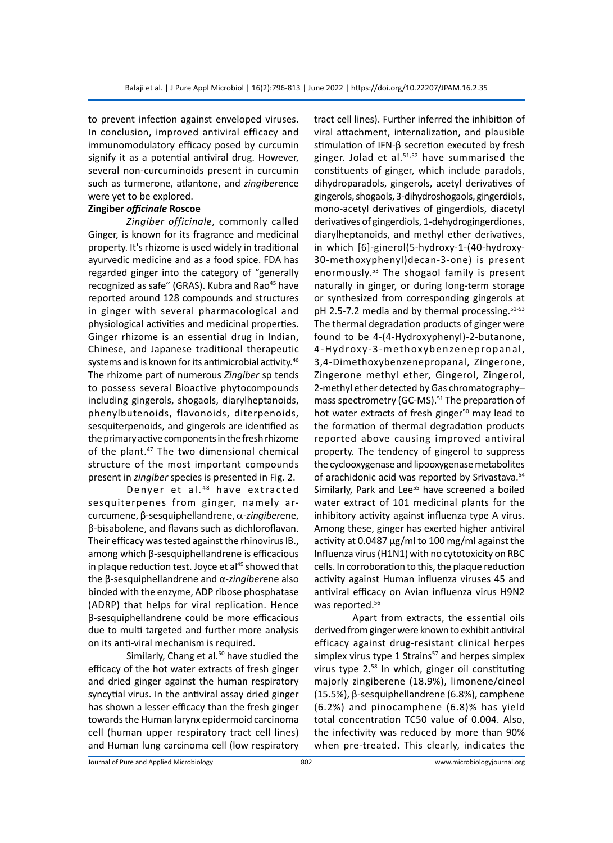to prevent infection against enveloped viruses. In conclusion, improved antiviral efficacy and immunomodulatory efficacy posed by curcumin signify it as a potential antiviral drug. However, several non-curcuminoids present in curcumin such as turmerone, atlantone, and *zingiber*ence were yet to be explored.

#### **Zingiber** *officinale* **Roscoe**

*Zingiber officinale*, commonly called Ginger, is known for its fragrance and medicinal property. It's rhizome is used widely in traditional ayurvedic medicine and as a food spice. FDA has regarded ginger into the category of "generally recognized as safe" (GRAS). Kubra and Rao<sup>45</sup> have reported around 128 compounds and structures in ginger with several pharmacological and physiological activities and medicinal properties. Ginger rhizome is an essential drug in Indian, Chinese, and Japanese traditional therapeutic systems and is known for its antimicrobial activity.<sup>46</sup> The rhizome part of numerous *Zingiber* sp tends to possess several Bioactive phytocompounds including gingerols, shogaols, diarylheptanoids, phenylbutenoids, flavonoids, diterpenoids, sesquiterpenoids, and gingerols are identified as the primary active components in the fresh rhizome of the plant.<sup>47</sup> The two dimensional chemical structure of the most important compounds present in *zingiber* species is presented in Fig. 2.

Denyer et al.<sup>48</sup> have extracted sesquiterpenes from ginger, namely arcurcumene, β-sesquiphellandrene, a-*zingiber*ene, β-bisabolene, and flavans such as dichloroflavan. Their efficacy was tested against the rhinovirus IB., among which β-sesquiphellandrene is efficacious in plaque reduction test. Joyce et al<sup>49</sup> showed that the β-sesquiphellandrene and α-*zingiber*ene also binded with the enzyme, ADP ribose phosphatase (ADRP) that helps for viral replication. Hence β-sesquiphellandrene could be more efficacious due to multi targeted and further more analysis on its anti-viral mechanism is required.

Similarly, Chang et al.<sup>50</sup> have studied the efficacy of the hot water extracts of fresh ginger and dried ginger against the human respiratory syncytial virus. In the antiviral assay dried ginger has shown a lesser efficacy than the fresh ginger towards the Human larynx epidermoid carcinoma cell (human upper respiratory tract cell lines) and Human lung carcinoma cell (low respiratory tract cell lines). Further inferred the inhibition of viral attachment, internalization, and plausible stimulation of IFN-β secretion executed by fresh ginger. Jolad et al.<sup>51,52</sup> have summarised the constituents of ginger, which include paradols, dihydroparadols, gingerols, acetyl derivatives of gingerols, shogaols, 3-dihydroshogaols, gingerdiols, mono-acetyl derivatives of gingerdiols, diacetyl derivatives of gingerdiols, 1-dehydrogingerdiones, diarylheptanoids, and methyl ether derivatives, in which [6]-ginerol(5-hydroxy-1-(40-hydroxy-30-methoxyphenyl)decan-3-one) is present enormously.<sup>53</sup> The shogaol family is present naturally in ginger, or during long-term storage or synthesized from corresponding gingerols at pH 2.5-7.2 media and by thermal processing.<sup>51-53</sup> The thermal degradation products of ginger were found to be 4-(4-Hydroxyphenyl)-2-butanone, 4-Hydroxy-3-methoxybenzenepropanal, 3,4-Dimethoxybenzenepropanal, Zingerone, Zingerone methyl ether, Gingerol, Zingerol, 2-methyl ether detected by Gas chromatography– mass spectrometry (GC-MS).<sup>51</sup> The preparation of hot water extracts of fresh ginger<sup>50</sup> may lead to the formation of thermal degradation products reported above causing improved antiviral property. The tendency of gingerol to suppress the cyclooxygenase and lipooxygenase metabolites of arachidonic acid was reported by Srivastava.<sup>54</sup> Similarly, Park and Lee<sup>55</sup> have screened a boiled water extract of 101 medicinal plants for the inhibitory activity against influenza type A virus. Among these, ginger has exerted higher antiviral activity at 0.0487 µg/ml to 100 mg/ml against the Influenza virus (H1N1) with no cytotoxicity on RBC cells. In corroboration to this, the plaque reduction activity against Human influenza viruses 45 and antiviral efficacy on Avian influenza virus H9N2 was reported.<sup>56</sup>

Apart from extracts, the essential oils derived from ginger were known to exhibit antiviral efficacy against drug-resistant clinical herpes simplex virus type 1 Strains $57$  and herpes simplex virus type 2.58 In which, ginger oil constituting majorly zingiberene (18.9%), limonene/cineol (15.5%), β-sesquiphellandrene (6.8%), camphene (6.2%) and pinocamphene (6.8)% has yield total concentration TC50 value of 0.004. Also, the infectivity was reduced by more than 90% when pre-treated. This clearly, indicates the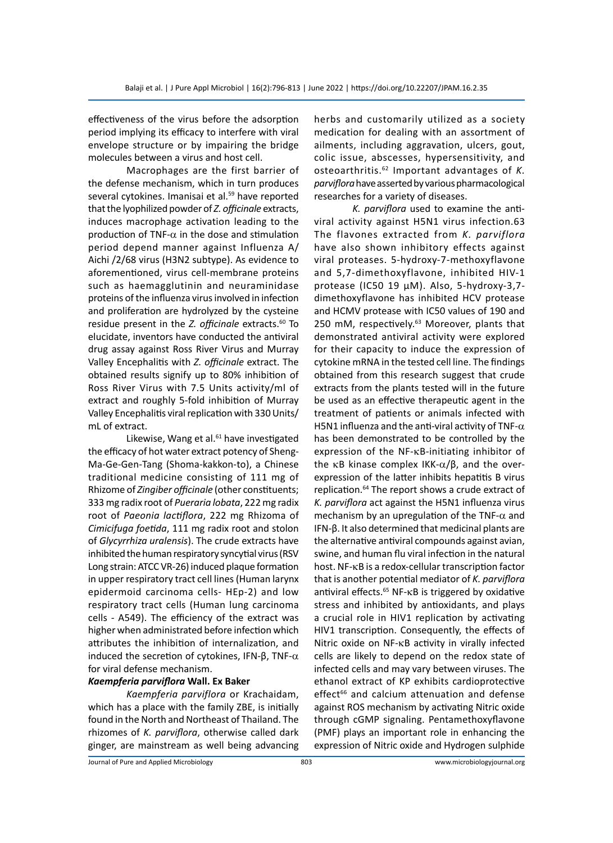effectiveness of the virus before the adsorption period implying its efficacy to interfere with viral envelope structure or by impairing the bridge molecules between a virus and host cell.

Macrophages are the first barrier of the defense mechanism, which in turn produces several cytokines. Imanisai et al.<sup>59</sup> have reported that the lyophilized powder of *Z. officinale* extracts, induces macrophage activation leading to the production of TNF- $\alpha$  in the dose and stimulation period depend manner against Influenza A/ Aichi /2/68 virus (H3N2 subtype). As evidence to aforementioned, virus cell-membrane proteins such as haemagglutinin and neuraminidase proteins of the influenza virus involved in infection and proliferation are hydrolyzed by the cysteine residue present in the *Z. officinale* extracts.<sup>60</sup> To elucidate, inventors have conducted the antiviral drug assay against Ross River Virus and Murray Valley Encephalitis with *Z. officinale* extract. The obtained results signify up to 80% inhibition of Ross River Virus with 7.5 Units activity/ml of extract and roughly 5-fold inhibition of Murray Valley Encephalitis viral replication with 330 Units/ mL of extract.

Likewise, Wang et al.<sup>61</sup> have investigated the efficacy of hot water extract potency of Sheng-Ma-Ge-Gen-Tang (Shoma-kakkon-to), a Chinese traditional medicine consisting of 111 mg of Rhizome of *Zingiber officinale* (other constituents; 333 mg radix root of *Pueraria lobata*, 222 mg radix root of *Paeonia lactiflora*, 222 mg Rhizoma of *Cimicifuga foetida*, 111 mg radix root and stolon of *Glycyrrhiza uralensis*). The crude extracts have inhibited the human respiratory syncytial virus (RSV Long strain: ATCC VR-26) induced plaque formation in upper respiratory tract cell lines (Human larynx epidermoid carcinoma cells- HEp-2) and low respiratory tract cells (Human lung carcinoma cells - A549). The efficiency of the extract was higher when administrated before infection which attributes the inhibition of internalization, and induced the secretion of cytokines, IFN- $β$ , TNF- $α$ for viral defense mechanism.

#### *Kaempferia parviflora* **Wall. Ex Baker**

*Kaempferia parviflora* or Krachaidam, which has a place with the family ZBE, is initially found in the North and Northeast of Thailand. The rhizomes of *K. parviflora*, otherwise called dark ginger, are mainstream as well being advancing herbs and customarily utilized as a society medication for dealing with an assortment of ailments, including aggravation, ulcers, gout, colic issue, abscesses, hypersensitivity, and osteoarthritis.62 Important advantages of *K. parviflora* have asserted by various pharmacological researches for a variety of diseases.

*K. parviflora* used to examine the antiviral activity against H5N1 virus infection.63 The flavones extracted from *K. parviflora* have also shown inhibitory effects against viral proteases. 5-hydroxy-7-methoxyflavone and 5,7-dimethoxyflavone, inhibited HIV-1 protease (IC50 19 µM). Also, 5-hydroxy-3,7 dimethoxyflavone has inhibited HCV protease and HCMV protease with IC50 values of 190 and 250 mM, respectively.<sup>63</sup> Moreover, plants that demonstrated antiviral activity were explored for their capacity to induce the expression of cytokine mRNA in the tested cell line. The findings obtained from this research suggest that crude extracts from the plants tested will in the future be used as an effective therapeutic agent in the treatment of patients or animals infected with H5N1 influenza and the anti-viral activity of TNF- $\alpha$ has been demonstrated to be controlled by the expression of the NF-κB-initiating inhibitor of the κB kinase complex IKK- $\alpha/\beta$ , and the overexpression of the latter inhibits hepatitis B virus replication.64 The report shows a crude extract of *K. parviflora* act against the H5N1 influenza virus mechanism by an upregulation of the TNF- $\alpha$  and IFN-β. It also determined that medicinal plants are the alternative antiviral compounds against avian, swine, and human flu viral infection in the natural host. NF-kB is a redox-cellular transcription factor that is another potential mediator of *K. parviflora* antiviral effects. $65$  NF- $\kappa$ B is triggered by oxidative stress and inhibited by antioxidants, and plays a crucial role in HIV1 replication by activating HIV1 transcription. Consequently, the effects of Nitric oxide on NF-kB activity in virally infected cells are likely to depend on the redox state of infected cells and may vary between viruses. The ethanol extract of KP exhibits cardioprotective effect<sup>66</sup> and calcium attenuation and defense against ROS mechanism by activating Nitric oxide through cGMP signaling. Pentamethoxyflavone (PMF) plays an important role in enhancing the expression of Nitric oxide and Hydrogen sulphide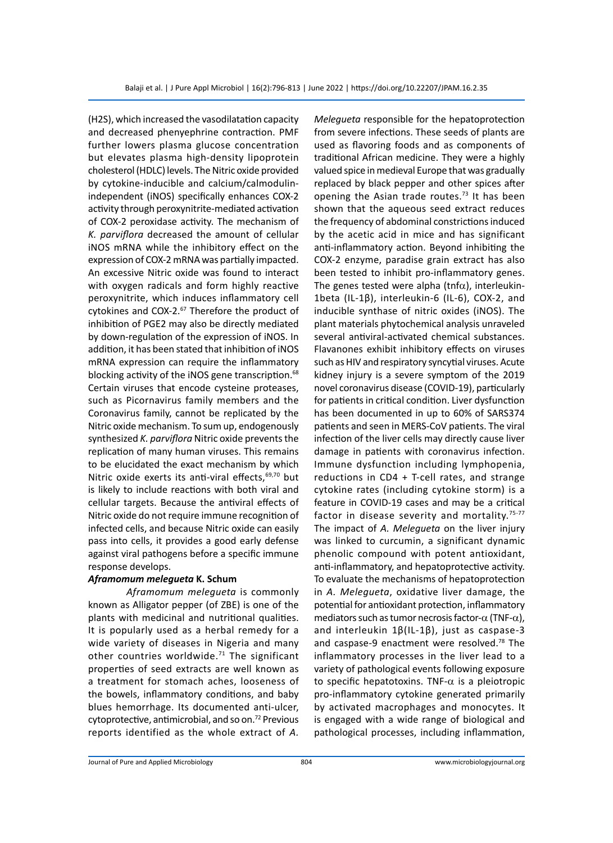(H2S), which increased the vasodilatation capacity and decreased phenyephrine contraction. PMF further lowers plasma glucose concentration but elevates plasma high-density lipoprotein cholesterol (HDLC) levels. The Nitric oxide provided by cytokine-inducible and calcium/calmodulinindependent (iNOS) specifically enhances COX-2 activity through peroxynitrite-mediated activation of COX-2 peroxidase activity. The mechanism of *K. parviflora* decreased the amount of cellular iNOS mRNA while the inhibitory effect on the expression of COX-2 mRNA was partially impacted. An excessive Nitric oxide was found to interact with oxygen radicals and form highly reactive peroxynitrite, which induces inflammatory cell cytokines and COX-2.<sup>67</sup> Therefore the product of inhibition of PGE2 may also be directly mediated by down-regulation of the expression of iNOS. In addition, it has been stated that inhibition of iNOS mRNA expression can require the inflammatory blocking activity of the iNOS gene transcription.<sup>68</sup> Certain viruses that encode cysteine proteases, such as Picornavirus family members and the Coronavirus family, cannot be replicated by the Nitric oxide mechanism. To sum up, endogenously synthesized *K. parviflora* Nitric oxide prevents the replication of many human viruses. This remains to be elucidated the exact mechanism by which Nitric oxide exerts its anti-viral effects,  $69,70$  but is likely to include reactions with both viral and cellular targets. Because the antiviral effects of Nitric oxide do not require immune recognition of infected cells, and because Nitric oxide can easily pass into cells, it provides a good early defense against viral pathogens before a specific immune response develops.

#### *Aframomum melegueta* **K. Schum**

*Aframomum melegueta* is commonly known as Alligator pepper (of ZBE) is one of the plants with medicinal and nutritional qualities. It is popularly used as a herbal remedy for a wide variety of diseases in Nigeria and many other countries worldwide. $71$  The significant properties of seed extracts are well known as a treatment for stomach aches, looseness of the bowels, inflammatory conditions, and baby blues hemorrhage. Its documented anti-ulcer, cytoprotective, antimicrobial, and so on.<sup>72</sup> Previous reports identified as the whole extract of *A.* 

*Melegueta* responsible for the hepatoprotection from severe infections. These seeds of plants are used as flavoring foods and as components of traditional African medicine. They were a highly valued spice in medieval Europe that was gradually replaced by black pepper and other spices after opening the Asian trade routes.<sup>73</sup> It has been shown that the aqueous seed extract reduces the frequency of abdominal constrictions induced by the acetic acid in mice and has significant anti-inflammatory action. Beyond inhibiting the COX-2 enzyme, paradise grain extract has also been tested to inhibit pro-inflammatory genes. The genes tested were alpha (tnf $\alpha$ ), interleukin-1beta (IL-1β), interleukin-6 (IL-6), COX-2, and inducible synthase of nitric oxides (iNOS). The plant materials phytochemical analysis unraveled several antiviral-activated chemical substances. Flavanones exhibit inhibitory effects on viruses such as HIV and respiratory syncytial viruses. Acute kidney injury is a severe symptom of the 2019 novel coronavirus disease (COVID-19), particularly for patients in critical condition. Liver dysfunction has been documented in up to 60% of SARS374 patients and seen in MERS-CoV patients. The viral infection of the liver cells may directly cause liver damage in patients with coronavirus infection. Immune dysfunction including lymphopenia, reductions in CD4 + T-cell rates, and strange cytokine rates (including cytokine storm) is a feature in COVID-19 cases and may be a critical factor in disease severity and mortality.<sup>75-77</sup> The impact of *A. Melegueta* on the liver injury was linked to curcumin, a significant dynamic phenolic compound with potent antioxidant, anti-inflammatory, and hepatoprotective activity. To evaluate the mechanisms of hepatoprotection in *A. Melegueta*, oxidative liver damage, the potential for antioxidant protection, inflammatory mediators such as tumor necrosis factor- $\alpha$  (TNF- $\alpha$ ), and interleukin 1β(IL-1β), just as caspase-3 and caspase-9 enactment were resolved.<sup>78</sup> The inflammatory processes in the liver lead to a variety of pathological events following exposure to specific hepatotoxins. TNF- $\alpha$  is a pleiotropic pro-inflammatory cytokine generated primarily by activated macrophages and monocytes. It is engaged with a wide range of biological and pathological processes, including inflammation,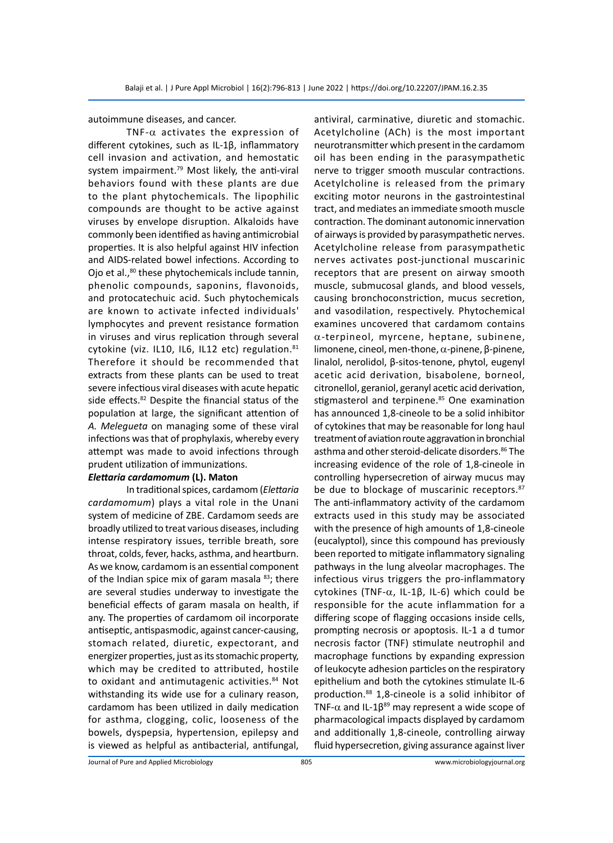autoimmune diseases, and cancer.

TNF- $\alpha$  activates the expression of different cytokines, such as IL-1β, inflammatory cell invasion and activation, and hemostatic system impairment. $79$  Most likely, the anti-viral behaviors found with these plants are due to the plant phytochemicals. The lipophilic compounds are thought to be active against viruses by envelope disruption. Alkaloids have commonly been identified as having antimicrobial properties. It is also helpful against HIV infection and AIDS-related bowel infections. According to Ojo et al.,<sup>80</sup> these phytochemicals include tannin, phenolic compounds, saponins, flavonoids, and protocatechuic acid. Such phytochemicals are known to activate infected individuals' lymphocytes and prevent resistance formation in viruses and virus replication through several cytokine (viz. IL10, IL6, IL12 etc) regulation.<sup>81</sup> Therefore it should be recommended that extracts from these plants can be used to treat severe infectious viral diseases with acute hepatic side effects.<sup>82</sup> Despite the financial status of the population at large, the significant attention of *A. Melegueta* on managing some of these viral infections was that of prophylaxis, whereby every attempt was made to avoid infections through prudent utilization of immunizations.

#### *Elettaria cardamomum* **(L). Maton**

In traditional spices, cardamom (*Elettaria cardamomum*) plays a vital role in the Unani system of medicine of ZBE. Cardamom seeds are broadly utilized to treat various diseases, including intense respiratory issues, terrible breath, sore throat, colds, fever, hacks, asthma, and heartburn. As we know, cardamom is an essential component of the Indian spice mix of garam masala  $83$ ; there are several studies underway to investigate the beneficial effects of garam masala on health, if any. The properties of cardamom oil incorporate antiseptic, antispasmodic, against cancer-causing, stomach related, diuretic, expectorant, and energizer properties, just as its stomachic property, which may be credited to attributed, hostile to oxidant and antimutagenic activities.<sup>84</sup> Not withstanding its wide use for a culinary reason, cardamom has been utilized in daily medication for asthma, clogging, colic, looseness of the bowels, dyspepsia, hypertension, epilepsy and is viewed as helpful as antibacterial, antifungal, antiviral, carminative, diuretic and stomachic. Acetylcholine (ACh) is the most important neurotransmitter which present in the cardamom oil has been ending in the parasympathetic nerve to trigger smooth muscular contractions. Acetylcholine is released from the primary exciting motor neurons in the gastrointestinal tract, and mediates an immediate smooth muscle contraction. The dominant autonomic innervation of airways is provided by parasympathetic nerves. Acetylcholine release from parasympathetic nerves activates post-junctional muscarinic receptors that are present on airway smooth muscle, submucosal glands, and blood vessels, causing bronchoconstriction, mucus secretion, and vasodilation, respectively. Phytochemical examines uncovered that cardamom contains  $\alpha$ -terpineol, myrcene, heptane, subinene, limonene, cineol, men-thone, a-pinene, β-pinene, linalol, nerolidol, β-sitos-tenone, phytol, eugenyl acetic acid derivation, bisabolene, borneol, citronellol, geraniol, geranyl acetic acid derivation, stigmasterol and terpinene.<sup>85</sup> One examination has announced 1,8-cineole to be a solid inhibitor of cytokines that may be reasonable for long haul treatment of aviation route aggravation in bronchial asthma and other steroid-delicate disorders.<sup>86</sup> The increasing evidence of the role of 1,8-cineole in controlling hypersecretion of airway mucus may be due to blockage of muscarinic receptors.<sup>87</sup> The anti-inflammatory activity of the cardamom extracts used in this study may be associated with the presence of high amounts of 1,8-cineole (eucalyptol), since this compound has previously been reported to mitigate inflammatory signaling pathways in the lung alveolar macrophages. The infectious virus triggers the pro-inflammatory cytokines (TNF-a, IL-1β, IL-6) which could be responsible for the acute inflammation for a differing scope of flagging occasions inside cells, prompting necrosis or apoptosis. IL-1 a d tumor necrosis factor (TNF) stimulate neutrophil and macrophage functions by expanding expression of leukocyte adhesion particles on the respiratory epithelium and both the cytokines stimulate IL-6 production.<sup>88</sup> 1,8-cineole is a solid inhibitor of TNF- $\alpha$  and IL-1 $\beta^{89}$  may represent a wide scope of pharmacological impacts displayed by cardamom and additionally 1,8-cineole, controlling airway fluid hypersecretion, giving assurance against liver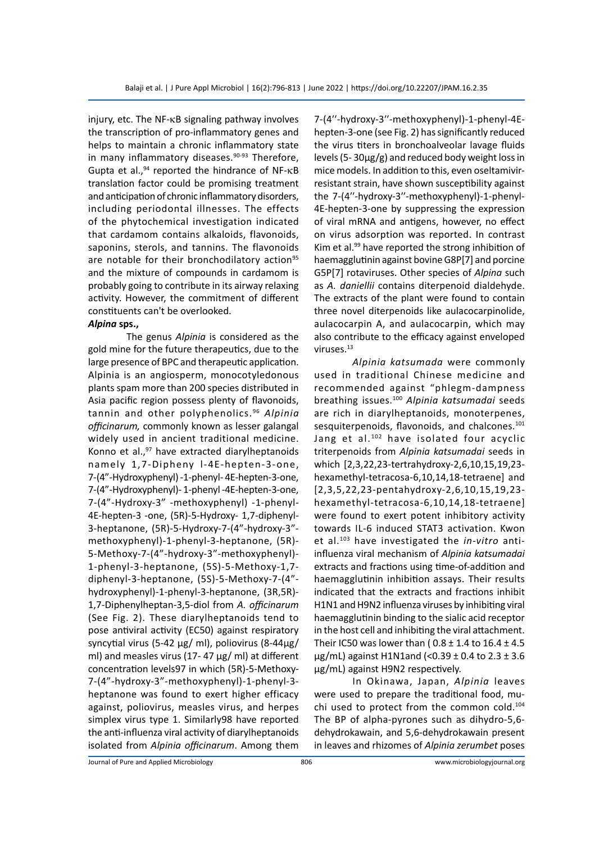injury, etc. The NF-kB signaling pathway involves the transcription of pro-inflammatory genes and helps to maintain a chronic inflammatory state in many inflammatory diseases.<sup>90-93</sup> Therefore, Gupta et al., $94$  reported the hindrance of NF- $\kappa$ B translation factor could be promising treatment and anticipation of chronic inflammatory disorders, including periodontal illnesses. The effects of the phytochemical investigation indicated that cardamom contains alkaloids, flavonoids, saponins, sterols, and tannins. The flavonoids are notable for their bronchodilatory action<sup>95</sup> and the mixture of compounds in cardamom is probably going to contribute in its airway relaxing activity. However, the commitment of different constituents can't be overlooked.

#### *Alpina* **sps.,**

The genus *Alpinia* is considered as the gold mine for the future therapeutics, due to the large presence of BPC and therapeutic application. Alpinia is an angiosperm, monocotyledonous plants spam more than 200 species distributed in Asia pacific region possess plenty of flavonoids, tannin and other polyphenolics.96 *Alpinia officinarum,* commonly known as lesser galangal widely used in ancient traditional medicine. Konno et al., $97$  have extracted diarylheptanoids namely 1,7-Dipheny l-4E-hepten-3-one, 7-(4"-Hydroxyphenyl) -1-phenyl- 4E-hepten-3-one, 7-(4"-Hydroxyphenyl)- 1-phenyl -4E-hepten-3-one, 7-(4"-Hydroxy-3" -methoxyphenyl) -1-phenyl-4E-hepten-3 -one, (5R)-5-Hydroxy- 1,7-diphenyl-3-heptanone, (5R)-5-Hydroxy-7-(4"-hydroxy-3" methoxyphenyl)-1-phenyl-3-heptanone, (5R)- 5-Methoxy-7-(4"-hydroxy-3"-methoxyphenyl)- 1-phenyl-3-heptanone, (5S)-5-Methoxy-1,7 diphenyl-3-heptanone, (5S)-5-Methoxy-7-(4" hydroxyphenyl)-1-phenyl-3-heptanone, (3R,5R)- 1,7-Diphenylheptan-3,5-diol from *A. officinarum* (See Fig. 2). These diarylheptanoids tend to pose antiviral activity (EC50) against respiratory syncytial virus (5-42 µg/ ml), poliovirus (8-44µg/ ml) and measles virus (17-47  $\mu$ g/ ml) at different concentration levels97 in which (5R)-5-Methoxy-7-(4"-hydroxy-3"-methoxyphenyl)-1-phenyl-3 heptanone was found to exert higher efficacy against, poliovirus, measles virus, and herpes simplex virus type 1. Similarly98 have reported the anti-influenza viral activity of diarylheptanoids isolated from *Alpinia officinarum*. Among them 7-(4′′-hydroxy-3′′-methoxyphenyl)-1-phenyl-4Ehepten-3-one (see Fig. 2) has significantly reduced the virus titers in bronchoalveolar lavage fluids levels (5- 30µg/g) and reduced body weight loss in mice models. In addition to this, even oseltamivirresistant strain, have shown susceptibility against the 7-(4′′-hydroxy-3′′-methoxyphenyl)-1-phenyl-4E-hepten-3-one by suppressing the expression of viral mRNA and antigens, however, no effect on virus adsorption was reported. In contrast Kim et al. $99$  have reported the strong inhibition of haemagglutinin against bovine G8P[7] and porcine G5P[7] rotaviruses. Other species of *Alpina* such as *A. daniellii* contains diterpenoid dialdehyde. The extracts of the plant were found to contain three novel diterpenoids like aulacocarpinolide, aulacocarpin A, and aulacocarpin, which may also contribute to the efficacy against enveloped viruses.13

*Alpinia katsumada* were commonly used in traditional Chinese medicine and recommended against "phlegm-dampness breathing issues.100 *Alpinia katsumadai* seeds are rich in diarylheptanoids, monoterpenes, sesquiterpenoids, flavonoids, and chalcones.<sup>101</sup> Jang et al.<sup>102</sup> have isolated four acyclic triterpenoids from *Alpinia katsumadai* seeds in which [2,3,22,23-tertrahydroxy-2,6,10,15,19,23 hexamethyl-tetracosa-6,10,14,18-tetraene] and [2,3,5,22,23-pentahydroxy-2,6,10,15,19,23 hexamethyl-tetracosa-6,10,14,18-tetraene] were found to exert potent inhibitory activity towards IL-6 induced STAT3 activation. Kwon et al.103 have investigated the *in-vitro* antiinfluenza viral mechanism of *Alpinia katsumadai* extracts and fractions using time-of-addition and haemagglutinin inhibition assays. Their results indicated that the extracts and fractions inhibit H1N1 and H9N2 influenza viruses by inhibiting viral haemagglutinin binding to the sialic acid receptor in the host cell and inhibiting the viral attachment. Their IC50 was lower than ( $0.8 \pm 1.4$  to  $16.4 \pm 4.5$ μg/mL) against H1N1and (< $0.39 \pm 0.4$  to 2.3  $\pm$  3.6 μg/mL) against H9N2 respectively.

In Okinawa, Japan, *Alpinia* leaves were used to prepare the traditional food, muchi used to protect from the common cold.<sup>104</sup> The BP of alpha-pyrones such as dihydro-5,6 dehydrokawain, and 5,6-dehydrokawain present in leaves and rhizomes of *Alpinia zerumbet* poses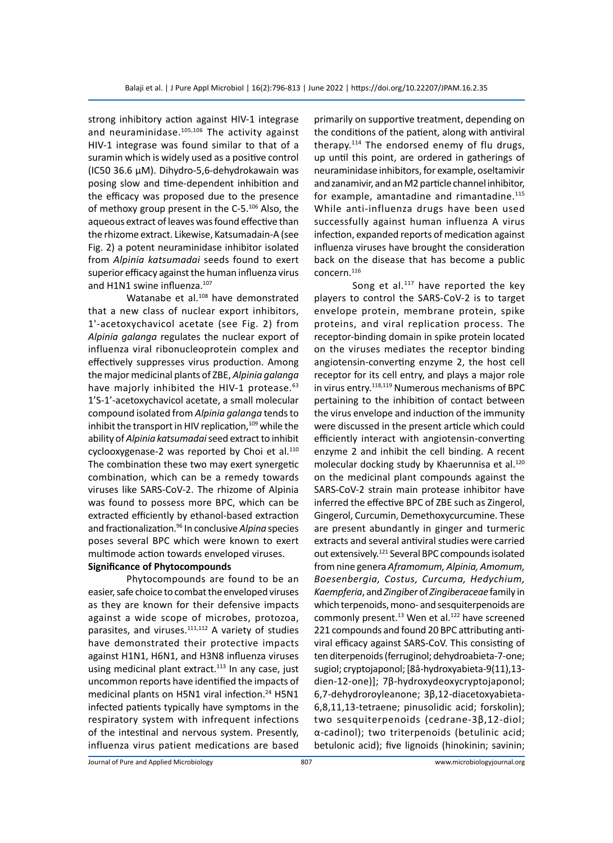strong inhibitory action against HIV-1 integrase and neuraminidase. $105,106$  The activity against HIV-1 integrase was found similar to that of a suramin which is widely used as a positive control (IC50 36.6 μM). Dihydro-5,6-dehydrokawain was posing slow and time-dependent inhibition and the efficacy was proposed due to the presence of methoxy group present in the C-5.<sup>106</sup> Also, the aqueous extract of leaves was found effective than the rhizome extract. Likewise, Katsumadain-A (see Fig. 2) a potent neuraminidase inhibitor isolated from *Alpinia katsumadai* seeds found to exert superior efficacy against the human influenza virus and H1N1 swine influenza.<sup>107</sup>

Watanabe et al.<sup>108</sup> have demonstrated that a new class of nuclear export inhibitors, 1'-acetoxychavicol acetate (see Fig. 2) from *Alpinia galanga* regulates the nuclear export of influenza viral ribonucleoprotein complex and effectively suppresses virus production. Among the major medicinal plants of ZBE, *Alpinia galanga* have majorly inhibited the HIV-1 protease.<sup>63</sup> 1'S-1'-acetoxychavicol acetate, a small molecular compound isolated from *Alpinia galanga* tends to inhibit the transport in HIV replication, $109$  while the ability of *Alpinia katsumadai* seed extract to inhibit cyclooxygenase-2 was reported by Choi et al. $110$ The combination these two may exert synergetic combination, which can be a remedy towards viruses like SARS-CoV-2. The rhizome of Alpinia was found to possess more BPC, which can be extracted efficiently by ethanol-based extraction and fractionalization.<sup>96</sup> In conclusive *Alpina* species poses several BPC which were known to exert multimode action towards enveloped viruses.

#### **Significance of Phytocompounds**

Phytocompounds are found to be an easier, safe choice to combat the enveloped viruses as they are known for their defensive impacts against a wide scope of microbes, protozoa, parasites, and viruses.<sup>111,112</sup> A variety of studies have demonstrated their protective impacts against H1N1, H6N1, and H3N8 influenza viruses using medicinal plant extract. $113$  In any case, just uncommon reports have identified the impacts of medicinal plants on H5N1 viral infection.<sup>24</sup> H5N1 infected patients typically have symptoms in the respiratory system with infrequent infections of the intestinal and nervous system. Presently, influenza virus patient medications are based primarily on supportive treatment, depending on the conditions of the patient, along with antiviral therapy.114 The endorsed enemy of flu drugs, up until this point, are ordered in gatherings of neuraminidase inhibitors, for example, oseltamivir and zanamivir, and an M2 particle channel inhibitor, for example, amantadine and rimantadine.<sup>115</sup> While anti-influenza drugs have been used successfully against human influenza A virus infection, expanded reports of medication against influenza viruses have brought the consideration back on the disease that has become a public concern.116

Song et al. $117$  have reported the key players to control the SARS-CoV-2 is to target envelope protein, membrane protein, spike proteins, and viral replication process. The receptor-binding domain in spike protein located on the viruses mediates the receptor binding angiotensin-converting enzyme 2, the host cell receptor for its cell entry, and plays a major role in virus entry.<sup>118,119</sup> Numerous mechanisms of BPC pertaining to the inhibition of contact between the virus envelope and induction of the immunity were discussed in the present article which could efficiently interact with angiotensin-converting enzyme 2 and inhibit the cell binding. A recent molecular docking study by Khaerunnisa et al.<sup>120</sup> on the medicinal plant compounds against the SARS-CoV-2 strain main protease inhibitor have inferred the effective BPC of ZBE such as Zingerol, Gingerol, Curcumin, Demethoxycurcumine. These are present abundantly in ginger and turmeric extracts and several antiviral studies were carried out extensively.<sup>121</sup> Several BPC compounds isolated from nine genera *Aframomum, Alpinia, Amomum, Boesenbergia, Costus, Curcuma, Hedychium, Kaempferia*, and *Zingiber* of *Zingiberaceae* family in which terpenoids, mono- and sesquiterpenoids are commonly present.<sup>13</sup> Wen et al.<sup>122</sup> have screened 221 compounds and found 20 BPC attributing antiviral efficacy against SARS-CoV. This consisting of ten diterpenoids (ferruginol; dehydroabieta-7-one; sugiol; cryptojaponol; [8â-hydroxyabieta-9(11),13 dien-12-one)]; 7β-hydroxydeoxycryptojaponol; 6,7-dehydroroyleanone; 3β,12-diacetoxyabieta-6,8,11,13-tetraene; pinusolidic acid; forskolin); two sesquiterpenoids (cedrane-3β,12-diol; α-cadinol); two triterpenoids (betulinic acid; betulonic acid); five lignoids (hinokinin; savinin;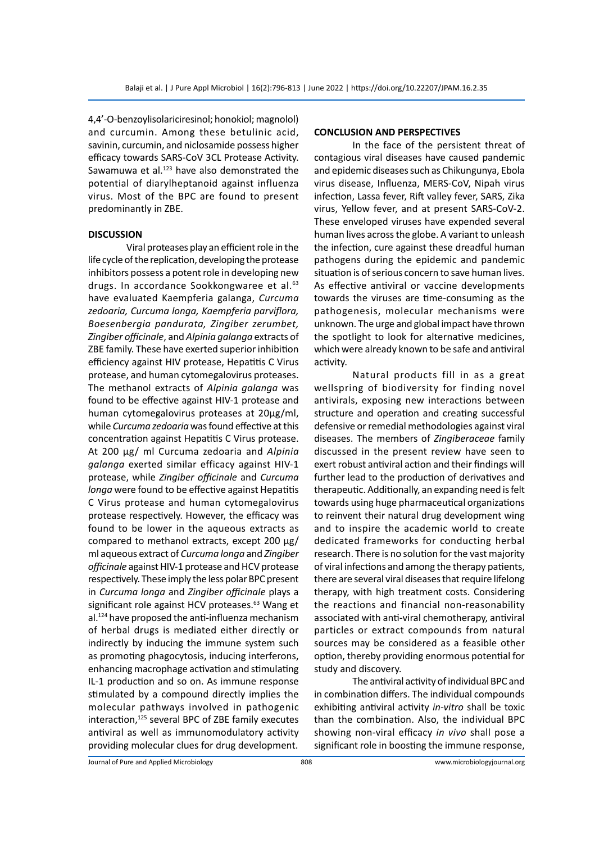4,4'-O-benzoylisolariciresinol; honokiol; magnolol) and curcumin. Among these betulinic acid, savinin, curcumin, and niclosamide possess higher efficacy towards SARS-CoV 3CL Protease Activity. Sawamuwa et al.<sup>123</sup> have also demonstrated the potential of diarylheptanoid against influenza virus. Most of the BPC are found to present predominantly in ZBE.

#### **DISCUSSION**

Viral proteases play an efficient role in the life cycle of the replication, developing the protease inhibitors possess a potent role in developing new drugs. In accordance Sookkongwaree et al.<sup>63</sup> have evaluated Kaempferia galanga, *Curcuma zedoaria, Curcuma longa, Kaempferia parviflora, Boesenbergia pandurata, Zingiber zerumbet, Zingiber officinale*, and *Alpinia galanga* extracts of ZBE family. These have exerted superior inhibition efficiency against HIV protease, Hepatitis C Virus protease, and human cytomegalovirus proteases. The methanol extracts of *Alpinia galanga* was found to be effective against HIV-1 protease and human cytomegalovirus proteases at 20µg/ml, while *Curcuma zedoaria* was found effective at this concentration against Hepatitis C Virus protease. At 200 µg/ ml Curcuma zedoaria and *Alpinia galanga* exerted similar efficacy against HIV-1 protease, while *Zingiber officinale* and *Curcuma longa* were found to be effective against Hepatitis C Virus protease and human cytomegalovirus protease respectively. However, the efficacy was found to be lower in the aqueous extracts as compared to methanol extracts, except 200 µg/ ml aqueous extract of *Curcuma longa* and *Zingiber officinale* against HIV-1 protease and HCV protease respectively. These imply the less polar BPC present in *Curcuma longa* and *Zingiber officinale* plays a significant role against HCV proteases.<sup>63</sup> Wang et al.124 have proposed the anti-influenza mechanism of herbal drugs is mediated either directly or indirectly by inducing the immune system such as promoting phagocytosis, inducing interferons, enhancing macrophage activation and stimulating IL-1 production and so on. As immune response stimulated by a compound directly implies the molecular pathways involved in pathogenic interaction,<sup>125</sup> several BPC of ZBE family executes antiviral as well as immunomodulatory activity providing molecular clues for drug development.

#### **CONCLUSION AND PERSPECTIVES**

In the face of the persistent threat of contagious viral diseases have caused pandemic and epidemic diseases such as Chikungunya, Ebola virus disease, Influenza, MERS-CoV, Nipah virus infection, Lassa fever, Rift valley fever, SARS, Zika virus, Yellow fever, and at present SARS-CoV-2. These enveloped viruses have expended several human lives across the globe. A variant to unleash the infection, cure against these dreadful human pathogens during the epidemic and pandemic situation is of serious concern to save human lives. As effective antiviral or vaccine developments towards the viruses are time-consuming as the pathogenesis, molecular mechanisms were unknown. The urge and global impact have thrown the spotlight to look for alternative medicines, which were already known to be safe and antiviral activity.

Natural products fill in as a great wellspring of biodiversity for finding novel antivirals, exposing new interactions between structure and operation and creating successful defensive or remedial methodologies against viral diseases. The members of *Zingiberaceae* family discussed in the present review have seen to exert robust antiviral action and their findings will further lead to the production of derivatives and therapeutic. Additionally, an expanding need is felt towards using huge pharmaceutical organizations to reinvent their natural drug development wing and to inspire the academic world to create dedicated frameworks for conducting herbal research. There is no solution for the vast majority of viral infections and among the therapy patients, there are several viral diseases that require lifelong therapy, with high treatment costs. Considering the reactions and financial non-reasonability associated with anti-viral chemotherapy, antiviral particles or extract compounds from natural sources may be considered as a feasible other option, thereby providing enormous potential for study and discovery.

The antiviral activity of individual BPC and in combination differs. The individual compounds exhibiting antiviral activity *in-vitro* shall be toxic than the combination. Also, the individual BPC showing non-viral efficacy *in vivo* shall pose a significant role in boosting the immune response,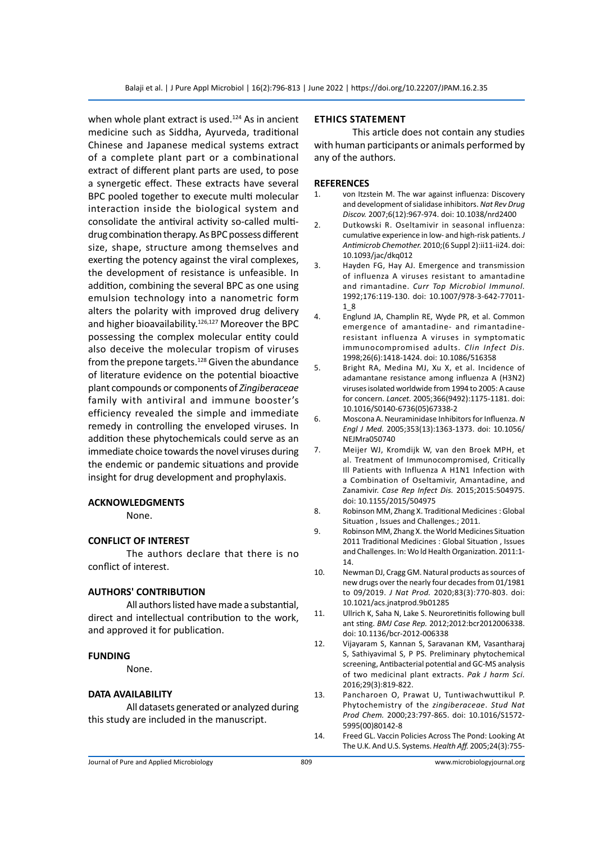when whole plant extract is used. $124$  As in ancient medicine such as Siddha, Ayurveda, traditional Chinese and Japanese medical systems extract of a complete plant part or a combinational extract of different plant parts are used, to pose a synergetic effect. These extracts have several BPC pooled together to execute multi molecular interaction inside the biological system and consolidate the antiviral activity so-called multidrug combination therapy. As BPC possess different size, shape, structure among themselves and exerting the potency against the viral complexes, the development of resistance is unfeasible. In addition, combining the several BPC as one using emulsion technology into a nanometric form alters the polarity with improved drug delivery and higher bioavailability.<sup>126,127</sup> Moreover the BPC possessing the complex molecular entity could also deceive the molecular tropism of viruses from the prepone targets. $128$  Given the abundance of literature evidence on the potential bioactive plant compounds or components of *Zingiberaceae* family with antiviral and immune booster's efficiency revealed the simple and immediate remedy in controlling the enveloped viruses. In addition these phytochemicals could serve as an immediate choice towards the novel viruses during the endemic or pandemic situations and provide insight for drug development and prophylaxis.

#### **ACKNOWLEDGMENTS**

None.

### **CONFLICT OF INTEREST**

The authors declare that there is no conflict of interest.

#### **AUTHORS' CONTRIBUTION**

All authors listed have made a substantial, direct and intellectual contribution to the work, and approved it for publication.

#### **FUNDING**

None.

#### **DATA AVAILABILITY**

All datasets generated or analyzed during this study are included in the manuscript.

#### **Ethics Statement**

This article does not contain any studies with human participants or animals performed by any of the authors.

#### **REFERENCES**

- 1. von Itzstein M. The war against influenza: Discovery and development of sialidase inhibitors. *Nat Rev Drug Discov.* 2007;6(12):967-974. doi: 10.1038/nrd2400
- 2. Dutkowski R. Oseltamivir in seasonal influenza: cumulative experience in low- and high-risk patients. *J Antimicrob Chemother.* 2010;(6 Suppl 2):ii11-ii24. doi: 10.1093/jac/dkq012
- 3. Hayden FG, Hay AJ. Emergence and transmission of influenza A viruses resistant to amantadine and rimantadine. *Curr Top Microbiol Immunol.* 1992;176:119-130. doi: 10.1007/978-3-642-77011- 1\_8
- 4. Englund JA, Champlin RE, Wyde PR, et al. Common emergence of amantadine- and rimantadineresistant influenza A viruses in symptomatic immunocompromised adults. *Clin Infect Dis.* 1998;26(6):1418-1424. doi: 10.1086/516358
- 5. Bright RA, Medina MJ, Xu X, et al. Incidence of adamantane resistance among influenza A (H3N2) viruses isolated worldwide from 1994 to 2005: A cause for concern. *Lancet.* 2005;366(9492):1175-1181. doi: 10.1016/S0140-6736(05)67338-2
- 6. Moscona A. Neuraminidase Inhibitors for Influenza. *N Engl J Med.* 2005;353(13):1363-1373. doi: 10.1056/ NEJMra050740
- 7. Meijer WJ, Kromdijk W, van den Broek MPH, et al. Treatment of Immunocompromised, Critically Ill Patients with Influenza A H1N1 Infection with a Combination of Oseltamivir, Amantadine, and Zanamivir. *Case Rep Infect Dis.* 2015;2015:504975. doi: 10.1155/2015/504975
- 8. Robinson MM, Zhang X. Traditional Medicines : Global Situation , Issues and Challenges.; 2011.
- 9. Robinson MM, Zhang X. the World Medicines Situation 2011 Traditional Medicines : Global Situation , Issues and Challenges. In: Wo ld Health Organization. 2011:1- 14.
- 10. Newman DJ, Cragg GM. Natural products as sources of new drugs over the nearly four decades from 01/1981 to 09/2019. *J Nat Prod.* 2020;83(3):770-803. doi: 10.1021/acs.jnatprod.9b01285
- 11. Ullrich K, Saha N, Lake S. Neuroretinitis following bull ant sting. *BMJ Case Rep.* 2012;2012:bcr2012006338. doi: 10.1136/bcr-2012-006338
- 12. Vijayaram S, Kannan S, Saravanan KM, Vasantharaj S, Sathiyavimal S, P PS. Preliminary phytochemical screening, Antibacterial potential and GC-MS analysis of two medicinal plant extracts. *Pak J harm Sci.* 2016;29(3):819-822.
- 13. Pancharoen O, Prawat U, Tuntiwachwuttikul P. Phytochemistry of the *zingiberaceae*. *Stud Nat Prod Chem.* 2000;23:797-865. doi: 10.1016/S1572- 5995(00)80142-8
- 14. Freed GL. Vaccin Policies Across The Pond: Looking At The U.K. And U.S. Systems. *Health Aff.* 2005;24(3):755-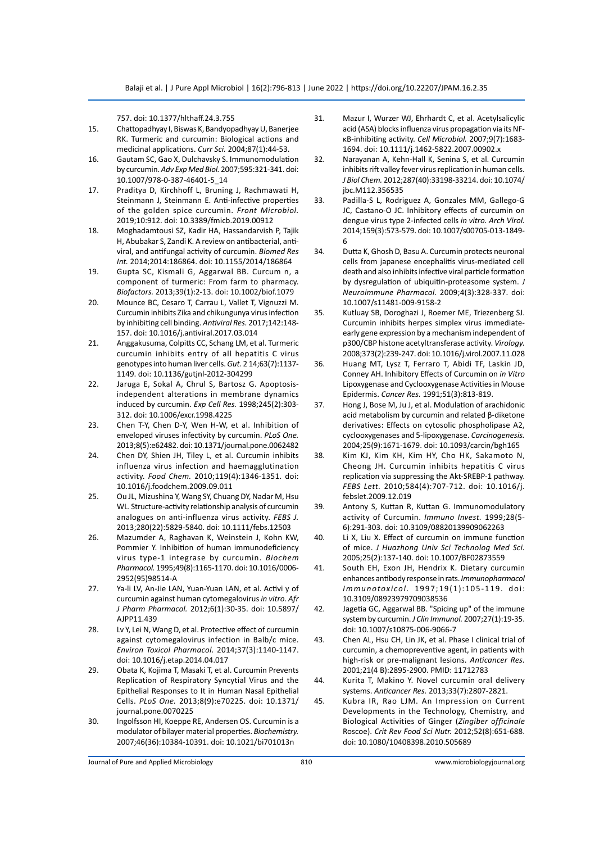757. doi: 10.1377/hlthaff.24.3.755

- 15. Chattopadhyay I, Biswas K, Bandyopadhyay U, Banerjee RK. Turmeric and curcumin: Biological actions and medicinal applications. *Curr Sci.* 2004;87(1):44-53.
- 16. Gautam SC, Gao X, Dulchavsky S. Immunomodulation by curcumin. *Adv Exp Med Biol.* 2007;595:321-341. doi: 10.1007/978-0-387-46401-5\_14
- 17. Praditya D, Kirchhoff L, Bruning J, Rachmawati H, Steinmann J, Steinmann E. Anti-infective properties of the golden spice curcumin. *Front Microbiol.* 2019;10:912. doi: 10.3389/fmicb.2019.00912
- 18. Moghadamtousi SZ, Kadir HA, Hassandarvish P, Tajik H, Abubakar S, Zandi K. A review on antibacterial, antiviral, and antifungal activity of curcumin. *Biomed Res Int.* 2014;2014:186864. doi: 10.1155/2014/186864
- 19. Gupta SC, Kismali G, Aggarwal BB. Curcum n, a component of turmeric: From farm to pharmacy. *Biofactors.* 2013;39(1):2-13. doi: 10.1002/biof.1079
- 20. Mounce BC, Cesaro T, Carrau L, Vallet T, Vignuzzi M. Curcumin inhibits Zika and chikungunya virus infection by inhibiting cell binding. *Antiviral Res.* 2017;142:148- 157. doi: 10.1016/j.antiviral.2017.03.014
- 21. Anggakusuma, Colpitts CC, Schang LM, et al. Turmeric curcumin inhibits entry of all hepatitis C virus genotypes into human liver cells. *Gut.* 2 14;63(7):1137- 1149. doi: 10.1136/gutjnl-2012-304299
- 22. Jaruga E, Sokal A, Chrul S, Bartosz G. Apoptosisindependent alterations in membrane dynamics induced by curcumin. *Exp Cell Res.* 1998;245(2):303- 312. doi: 10.1006/excr.1998.4225
- 23. Chen T-Y, Chen D-Y, Wen H-W, et al. Inhibition of enveloped viruses infectivity by curcumin. *PLoS One.* 2013;8(5):e62482. doi: 10.1371/journal.pone.0062482
- 24. Chen DY, Shien JH, Tiley L, et al. Curcumin inhibits influenza virus infection and haemagglutination activity. *Food Chem.* 2010;119(4):1346-1351. doi: 10.1016/j.foodchem.2009.09.011
- 25. Ou JL, Mizushina Y, Wang SY, Chuang DY, Nadar M, Hsu WL. Structure-activity relationship analysis of curcumin analogues on anti-influenza virus activity. *FEBS J.* 2013;280(22):5829-5840. doi: 10.1111/febs.12503
- 26. Mazumder A, Raghavan K, Weinstein J, Kohn KW, Pommier Y. Inhibition of human immunodeficiency virus type-1 integrase by curcumin. *Biochem Pharmacol.* 1995;49(8):1165-1170. doi: 10.1016/0006- 2952(95)98514-A
- 27. Ya-li LV, An-Jie LAN, Yuan-Yuan LAN, et al. Activi y of curcumin against human cytomegalovirus *in vitro. Afr J Pharm Pharmacol.* 2012;6(1):30-35. doi: 10.5897/ AJPP11.439
- 28. Lv Y, Lei N, Wang D, et al. Protective effect of curcumin against cytomegalovirus infection in Balb/c mice. *Environ Toxicol Pharmacol.* 2014;37(3):1140-1147. doi: 10.1016/j.etap.2014.04.017
- 29. Obata K, Kojima T, Masaki T, et al. Curcumin Prevents Replication of Respiratory Syncytial Virus and the Epithelial Responses to It in Human Nasal Epithelial Cells. *PLoS One.* 2013;8(9):e70225. doi: 10.1371/ journal.pone.0070225
- 30. Ingolfsson HI, Koeppe RE, Andersen OS. Curcumin is a modulator of bilayer material properties. *Biochemistry.* 2007;46(36):10384-10391. doi: 10.1021/bi701013n
- 31. Mazur I, Wurzer WJ, Ehrhardt C, et al. Acetylsalicylic acid (ASA) blocks influenza virus propagation via its NFκB-inhibiting activity. *Cell Microbiol.* 2007;9(7):1683- 1694. doi: 10.1111/j.1462-5822.2007.00902.x
- 32. Narayanan A, Kehn-Hall K, Senina S, et al. Curcumin inhibits rift valley fever virus replication in human cells. *J Biol Chem.* 2012;287(40):33198-33214. doi: 10.1074/ jbc.M112.356535
- 33. Padilla-S L, Rodriguez A, Gonzales MM, Gallego-G JC, Castano-O JC. Inhibitory effects of curcumin on dengue virus type 2-infected cells *in vitro. Arch Virol.* 2014;159(3):573-579. doi: 10.1007/s00705-013-1849- 6
- 34. Dutta K, Ghosh D, Basu A. Curcumin protects neuronal cells from japanese encephalitis virus-mediated cell death and also inhibits infective viral particle formation by dysregulation of ubiquitin-proteasome system. *J Neuroimmune Pharmacol.* 2009;4(3):328-337. doi: 10.1007/s11481-009-9158-2
- 35. Kutluay SB, Doroghazi J, Roemer ME, Triezenberg SJ. Curcumin inhibits herpes simplex virus immediateearly gene expression by a mechanism independent of p300/CBP histone acetyltransferase activity. *Virology.* 2008;373(2):239-247. doi: 10.1016/j.virol.2007.11.028
- 36. Huang MT, Lysz T, Ferraro T, Abidi TF, Laskin JD, Conney AH. Inhibitory Effects of Curcumin on *in Vitro*  Lipoxygenase and Cyclooxygenase Activities in Mouse Epidermis. *Cancer Res.* 1991;51(3):813-819.
- 37. Hong J, Bose M, Ju J, et al. Modulation of arachidonic acid metabolism by curcumin and related β-diketone derivatives: Effects on cytosolic phospholipase A2, cyclooxygenases and 5-lipoxygenase. *Carcinogenesis.* 2004;25(9):1671-1679. doi: 10.1093/carcin/bgh165
- 38. Kim KJ, Kim KH, Kim HY, Cho HK, Sakamoto N, Cheong JH. Curcumin inhibits hepatitis C virus replication via suppressing the Akt-SREBP-1 pathway. *FEBS Lett.* 2010;584(4):707-712. doi: 10.1016/j. febslet.2009.12.019
- 39. Antony S, Kuttan R, Kuttan G. Immunomodulatory activity of Curcumin. *Immuno Invest.* 1999;28(5- 6):291-303. doi: 10.3109/08820139909062263
- 40. Li X, Liu X. Effect of curcumin on immune function of mice. *J Huazhong Univ Sci Technolog Med Sci.* 2005;25(2):137-140. doi: 10.1007/BF02873559
- 41. South EH, Exon JH, Hendrix K. Dietary curcumin enhances antibody response in rats. *Immunopharmacol Immunotoxicol.* 1997;19(1):105-119. doi: 10.3109/08923979709038536
- 42. Jagetia GC, Aggarwal BB. "Spicing up" of the immune system by curcumin. *J Clin Immunol.* 2007;27(1):19-35. doi: 10.1007/s10875-006-9066-7
- 43. Chen AL, Hsu CH, Lin JK, et al. Phase I clinical trial of curcumin, a chemopreventive agent, in patients with high-risk or pre-malignant lesions. *Anticancer Res.* 2001;21(4 B):2895-2900. PMID: 11712783
- 44. Kurita T, Makino Y. Novel curcumin oral delivery systems. *Anticancer Res.* 2013;33(7):2807-2821.
- 45. Kubra IR, Rao LJM. An Impression on Current Developments in the Technology, Chemistry, and Biological Activities of Ginger (*Zingiber officinale* Roscoe). *Crit Rev Food Sci Nutr.* 2012;52(8):651-688. doi: 10.1080/10408398.2010.505689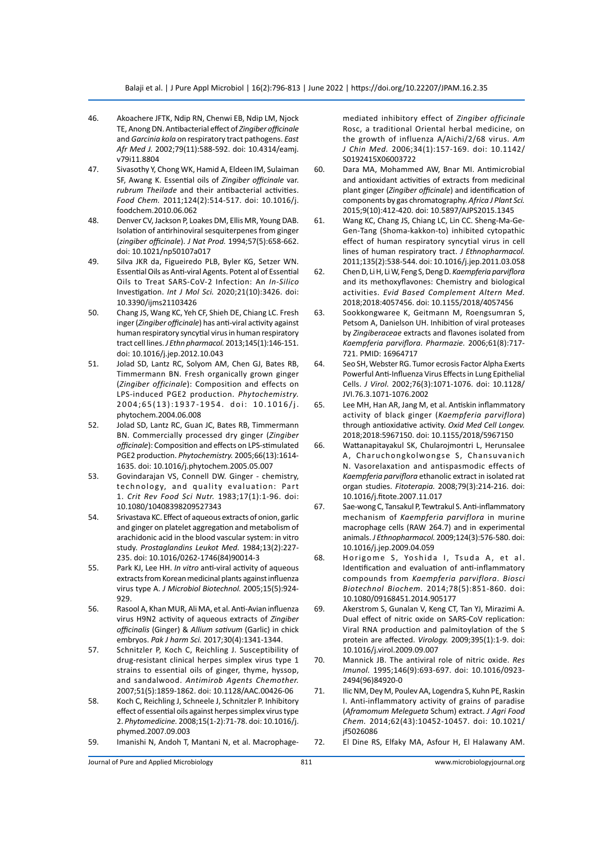- 46. Akoachere JFTK, Ndip RN, Chenwi EB, Ndip LM, Njock TE, Anong DN. Antibacterial effect of *Zingiber officinale* and *Garcinia kola* on respiratory tract pathogens. *East Afr Med J.* 2002;79(11):588-592. doi: 10.4314/eamj. v79i11.8804
- 47. Sivasothy Y, Chong WK, Hamid A, Eldeen IM, Sulaiman SF, Awang K. Essential oils of *Zingiber officinale* var. *rubrum Theilade* and their antibacterial activities. *Food Chem.* 2011;124(2):514-517. doi: 10.1016/j. foodchem.2010.06.062
- 48. Denver CV, Jackson P, Loakes DM, Ellis MR, Young DAB. Isolation of antirhinoviral sesquiterpenes from ginger (*zingiber officinale*). *J Nat Prod.* 1994;57(5):658-662. doi: 10.1021/np50107a017
- 49. Silva JKR da, Figueiredo PLB, Byler KG, Setzer WN. Essential Oils as Anti-viral Agents. Potent al of Essential Oils to Treat SARS-CoV-2 Infection: An *In-Silico*  Investigation. *Int J Mol Sci.* 2020;21(10):3426. doi: 10.3390/ijms21103426
- 50. Chang JS, Wang KC, Yeh CF, Shieh DE, Chiang LC. Fresh inger (*Zingiber officinale*) has anti-viral activity against human respiratory syncytial virus in human respiratory tract cell lines. *J Ethn pharmacol.* 2013;145(1):146-151. doi: 10.1016/j.jep.2012.10.043
- 51. Jolad SD, Lantz RC, Solyom AM, Chen GJ, Bates RB, Timmermann BN. Fresh organically grown ginger (*Zingiber officinale*): Composition and effects on LPS-induced PGE2 production. *Phytochemistry.* 2004;65(13):1937-1954. doi: 10.1016/j. phytochem.2004.06.008
- 52. Jolad SD, Lantz RC, Guan JC, Bates RB, Timmermann BN. Commercially processed dry ginger (*Zingiber officinale*): Composition and effects on LPS-stimulated PGE2 production. *Phytochemistry.* 2005;66(13):1614- 1635. doi: 10.1016/j.phytochem.2005.05.007
- 53. Govindarajan VS, Connell DW. Ginger chemistry, technology, and quality evaluation: Part 1. *Crit Rev Food Sci Nutr.* 1983;17(1):1-96. doi: 10.1080/10408398209527343
- 54. Srivastava KC. Effect of aqueous extracts of onion, garlic and ginger on platelet aggregation and metabolism of arachidonic acid in the blood vascular system: in vitro study. *Prostaglandins Leukot Med.* 1984;13(2):227- 235. doi: 10.1016/0262-1746(84)90014-3
- 55. Park KJ, Lee HH. *In vitro* anti-viral activity of aqueous extracts from Korean medicinal plants against influenza virus type A. *J Microbiol Biotechnol.* 2005;15(5):924- 929.
- 56. Rasool A, Khan MUR, Ali MA, et al. Anti-Avian influenza virus H9N2 activity of aqueous extracts of *Zingiber officinalis* (Ginger) & *Allium sativum* (Garlic) in chick embryos. *Pak J harm Sci.* 2017;30(4):1341-1344.
- 57. Schnitzler P, Koch C, Reichling J. Susceptibility of drug-resistant clinical herpes simplex virus type 1 strains to essential oils of ginger, thyme, hyssop, and sandalwood. *Antimirob Agents Chemother.* 2007;51(5):1859-1862. doi: 10.1128/AAC.00426-06
- 58. Koch C, Reichling J, Schneele J, Schnitzler P. Inhibitory effect of essential oils against herpes simplex virus type 2. *Phytomedicine.* 2008;15(1-2):71-78. doi: 10.1016/j. phymed.2007.09.003
- 59. Imanishi N, Andoh T, Mantani N, et al. Macrophage-

mediated inhibitory effect of *Zingiber officinale* Rosc, a traditional Oriental herbal medicine, on the growth of influenza A/Aichi/2/68 virus. *Am J Chin Med.* 2006;34(1):157-169. doi: 10.1142/ S0192415X06003722

- 60. Dara MA, Mohammed AW, Bnar MI. Antimicrobial and antioxidant activities of extracts from medicinal plant ginger (*Zingiber officinale*) and identification of components by gas chromatography. *Africa J Plant Sci.* 2015;9(10):412-420. doi: 10.5897/AJPS2015.1345
- 61. Wang KC, Chang JS, Chiang LC, Lin CC. Sheng-Ma-Ge-Gen-Tang (Shoma-kakkon-to) inhibited cytopathic effect of human respiratory syncytial virus in cell lines of human respiratory tract. *J Ethnopharmacol.* 2011;135(2):538-544. doi: 10.1016/j.jep.2011.03.058
- 62. Chen D, Li H, Li W, Feng S, Deng D. *Kaempferia parviflora*  and its methoxyflavones: Chemistry and biological activities. *Evid Based Complement Altern Med.* 2018;2018:4057456. doi: 10.1155/2018/4057456
- 63. Sookkongwaree K, Geitmann M, Roengsumran S, Petsom A, Danielson UH. Inhibition of viral proteases by *Zingiberaceae* extracts and flavones isolated from *Kaempferia parviflora*. *Pharmazie.* 2006;61(8):717- 721. PMID: 16964717
- 64. Seo SH, Webster RG. Tumor ecrosis Factor Alpha Exerts Powerful Anti-Influenza Virus Effects in Lung Epithelial Cells. *J Virol.* 2002;76(3):1071-1076. doi: 10.1128/ JVI.76.3.1071-1076.2002
- 65. Lee MH, Han AR, Jang M, et al. Antiskin inflammatory activity of black ginger (*Kaempferia parviflora*) through antioxidative activity. *Oxid Med Cell Longev.*  2018;2018:5967150. doi: 10.1155/2018/5967150
- 66. Wattanapitayakul SK, Chularojmontri L, Herunsalee A, Charuchongkolwongse S, Chansuvanich N. Vasorelaxation and antispasmodic effects of *Kaempferia parviflora* ethanolic extract in isolated rat organ studies. *Fitoterapia.* 2008;79(3):214-216. doi: 10.1016/j.fitote.2007.11.017
- 67. Sae-wong C, Tansakul P, Tewtrakul S. Anti-inflammatory mechanism of *Kaempferia parviflora* in murine macrophage cells (RAW 264.7) and in experimental animals. *J Ethnopharmacol.* 2009;124(3):576-580. doi: 10.1016/j.jep.2009.04.059
- 68. Horigome S, Yoshida I, Tsuda A, et al. Identification and evaluation of anti-inflammatory compounds from *Kaempferia parviflora*. *Biosci Biotechnol Biochem.* 2014;78(5):851-860. doi: 10.1080/09168451.2014.905177
- 69. Akerstrom S, Gunalan V, Keng CT, Tan YJ, Mirazimi A. Dual effect of nitric oxide on SARS-CoV replication: Viral RNA production and palmitoylation of the S protein are affected. *Virology.* 2009;395(1):1-9. doi: 10.1016/j.virol.2009.09.007
- 70. Mannick JB. The antiviral role of nitric oxide. *Res Imunol.* 1995;146(9):693-697. doi: 10.1016/0923- 2494(96)84920-0
- 71. Ilic NM, Dey M, Poulev AA, Logendra S, Kuhn PE, Raskin I. Anti-inflammatory activity of grains of paradise (*Aframomum Melegueta* Schum) extract. *J Agri Food Chem.* 2014;62(43):10452-10457. doi: 10.1021/ jf5026086
- 72. El Dine RS, Elfaky MA, Asfour H, El Halawany AM.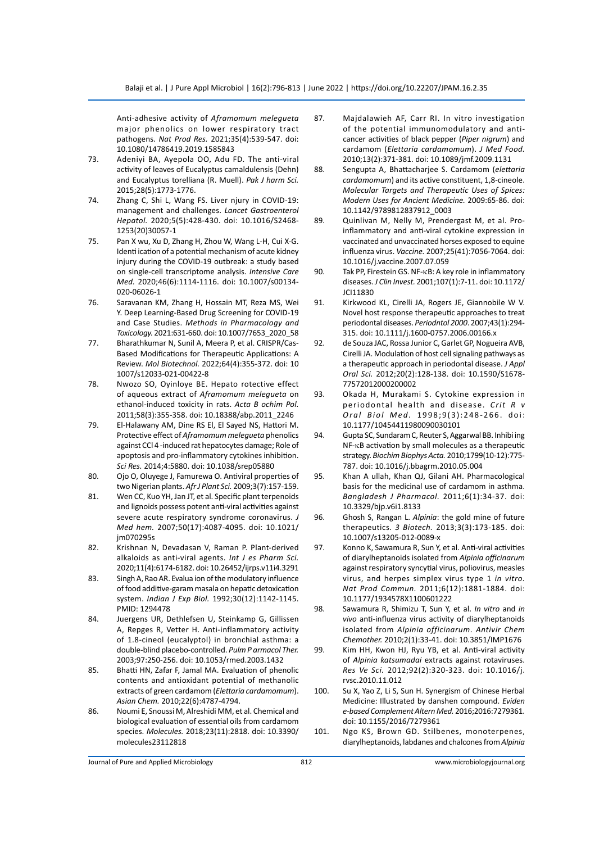Anti-adhesive activity of *Aframomum melegueta*  major phenolics on lower respiratory tract pathogens. *Nat Prod Res.* 2021;35(4):539-547. doi: 10.1080/14786419.2019.1585843

- 73. Adeniyi BA, Ayepola OO, Adu FD. The anti-viral activity of leaves of Eucalyptus camaldulensis (Dehn) and Eucalyptus torelliana (R. Muell). *Pak J harm Sci.* 2015;28(5):1773-1776.
- 74. Zhang C, Shi L, Wang FS. Liver njury in COVID-19: management and challenges. *Lancet Gastroenterol Hepatol.* 2020;5(5):428-430. doi: 10.1016/S2468- 1253(20)30057-1
- 75. Pan X wu, Xu D, Zhang H, Zhou W, Wang L-H, Cui X-G. Identi ication of a potential mechanism of acute kidney injury during the COVID-19 outbreak: a study based on single-cell transcriptome analysis. *Intensive Care Med.* 2020;46(6):1114-1116. doi: 10.1007/s00134- 020-06026-1
- 76. Saravanan KM, Zhang H, Hossain MT, Reza MS, Wei Y. Deep Learning-Based Drug Screening for COVID-19 and Case Studies. *Methods in Pharmacology and Toxicology.* 2021:631-660. doi: 10.1007/7653\_2020\_58
- 77. Bharathkumar N, Sunil A, Meera P, et al. CRISPR/Cas-Based Modifications for Therapeutic Applications: A Review. *Mol Biotechnol.* 2022;64(4):355-372. doi: 10 1007/s12033-021-00422-8
- 78. Nwozo SO, Oyinloye BE. Hepato rotective effect of aqueous extract of *Aframomum melegueta* on ethanol-induced toxicity in rats. *Acta B ochim Pol.* 2011;58(3):355-358. doi: 10.18388/abp.2011\_2246
- 79. El-Halawany AM, Dine RS El, El Sayed NS, Hattori M. Protective effect of *Aframomum melegueta* phenolics against CCl 4 -induced rat hepatocytes damage; Role of apoptosis and pro-inflammatory cytokines inhibition. *Sci Res.* 2014;4:5880. doi: 10.1038/srep05880
- 80. Ojo O, Oluyege J, Famurewa O. Antiviral properties of two Nigerian plants. *Afr J Plant Sci.* 2009;3(7):157-159.
- 81. Wen CC, Kuo YH, Jan JT, et al. Specific plant terpenoids and lignoids possess potent anti-viral activities against severe acute respiratory syndrome coronavirus. *J Med hem.* 2007;50(17):4087-4095. doi: 10.1021/ jm070295s
- 82. Krishnan N, Devadasan V, Raman P. Plant-derived alkaloids as anti-viral agents. *Int J es Pharm Sci.* 2020;11(4):6174-6182. doi: 10.26452/ijrps.v11i4.3291
- 83. Singh A, Rao AR. Evalua ion of the modulatory influence of food additive-garam masala on hepatic detoxication system. *Indian J Exp Biol.* 1992;30(12):1142-1145. PMID: 1294478
- 84. Juergens UR, Dethlefsen U, Steinkamp G, Gillissen A, Repges R, Vetter H. Anti-inflammatory activity of 1.8-cineol (eucalyptol) in bronchial asthma: a double-blind placebo-controlled. *Pulm P armacol Ther.* 2003;97:250-256. doi: 10.1053/rmed.2003.1432
- 85. Bhatti HN, Zafar F, Jamal MA. Evaluation of phenolic contents and antioxidant potential of methanolic extracts of green cardamom (*Elettaria cardamomum*). *Asian Chem.* 2010;22(6):4787-4794.
- 86. Noumi E, Snoussi M, Alreshidi MM, et al. Chemical and biological evaluation of essential oils from cardamom species. *Molecules.* 2018;23(11):2818. doi: 10.3390/ molecules23112818
- 87. Majdalawieh AF, Carr RI. In vitro investigation of the potential immunomodulatory and anticancer activities of black pepper (*Piper nigrum*) and cardamom (*Elettaria cardamomum*). *J Med Food.* 2010;13(2):371-381. doi: 10.1089/jmf.2009.1131
- 88. Sengupta A, Bhattacharjee S. Cardamom (*elettaria cardamomum*) and its active constituent, 1,8-cineole. *Molecular Targets and Therapeutic Uses of Spices: Modern Uses for Ancient Medicine.* 2009:65-86. doi: 10.1142/9789812837912\_0003
- 89. Quinlivan M, Nelly M, Prendergast M, et al. Proinflammatory and anti-viral cytokine expression in vaccinated and unvaccinated horses exposed to equine influenza virus. *Vaccine.* 2007;25(41):7056-7064. doi: 10.1016/j.vaccine.2007.07.059
- 90. Tak PP, Firestein GS. NF-κB: A key role in inflammatory diseases. *J Clin Invest.* 2001;107(1):7-11. doi: 10.1172/ JCI11830
- 91. Kirkwood KL, Cirelli JA, Rogers JE, Giannobile W V. Novel host response therapeutic approaches to treat periodontal diseases. *Periodntol 2000*. 2007;43(1):294- 315. doi: 10.1111/j.1600-0757.2006.00166.x
- 92. de Souza JAC, Rossa Junior C, Garlet GP, Nogueira AVB, Cirelli JA. Modulation of host cell signaling pathways as a therapeutic approach in periodontal disease. *J Appl Oral Sci.* 2012;20(2):128-138. doi: 10.1590/S1678- 77572012000200002
- 93. Okada H, Murakami S. Cytokine expression in periodontal health and disease. *Crit R v Oral Biol Med.* 1998;9(3):248-266. doi: 10.1177/10454411980090030101
- 94. Gupta SC, Sundaram C, Reuter S, Aggarwal BB. Inhibi ing NF-κB activation by small molecules as a therapeutic strategy. *Biochim Biophys Acta.* 2010;1799(10-12):775- 787. doi: 10.1016/j.bbagrm.2010.05.004
- 95. Khan A ullah, Khan QJ, Gilani AH. Pharmacological basis for the medicinal use of cardamom in asthma. *Bangladesh J Pharmacol.* 2011;6(1):34-37. doi: 10.3329/bjp.v6i1.8133
- 96. Ghosh S, Rangan L. *Alpinia*: the gold mine of future therapeutics. *3 Biotech.* 2013;3(3):173-185. doi: 10.1007/s13205-012-0089-x
- 97. Konno K, Sawamura R, Sun Y, et al. Anti-viral activities of diarylheptanoids isolated from *Alpinia officinarum* against respiratory syncytial virus, poliovirus, measles virus, and herpes simplex virus type 1 *in vitro. Nat Prod Commun.* 2011;6(12):1881-1884. doi: 10.1177/1934578X1100601222
- 98. Sawamura R, Shimizu T, Sun Y, et al. *In vitro* and *in vivo* anti-influenza virus activity of diarylheptanoids isolated from *Alpinia officinarum*. *Antivir Chem Chemother.* 2010;2(1):33-41. doi: 10.3851/IMP1676
- 99. Kim HH, Kwon HJ, Ryu YB, et al. Anti-viral activity of *Alpinia katsumadai* extracts against rotaviruses. *Res Ve Sci.* 2012;92(2):320-323. doi: 10.1016/j. rvsc.2010.11.012
- 100. Su X, Yao Z, Li S, Sun H. Synergism of Chinese Herbal Medicine: Illustrated by danshen compound. *Eviden e-based Complement Altern Med.* 2016;2016:7279361. doi: 10.1155/2016/7279361
- 101. Ngo KS, Brown GD. Stilbenes, monoterpenes, diarylheptanoids, labdanes and chalcones from *Alpinia*